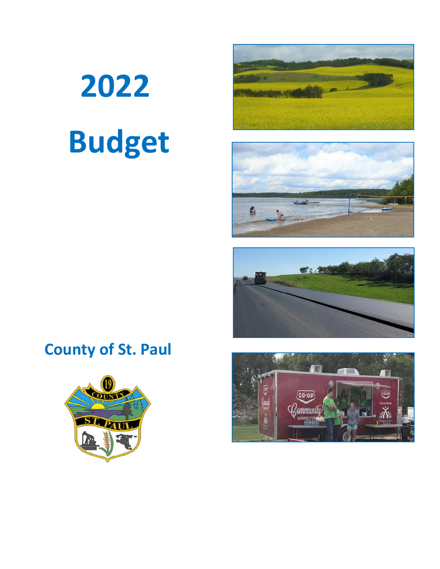# **2022 Budget**







# **County of St. Paul**



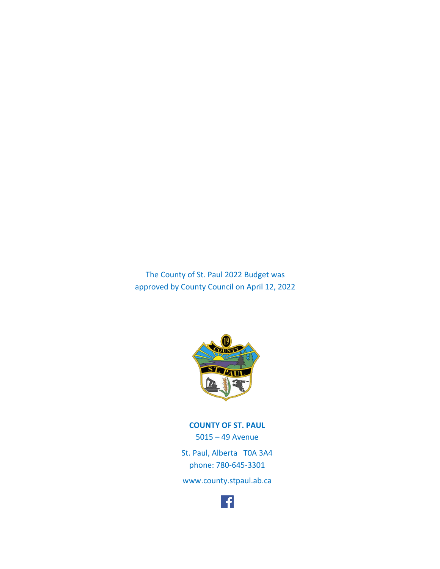The County of St. Paul 2022 Budget was approved by County Council on April 12, 2022



**COUNTY OF ST. PAUL** 5015 – 49 Avenue St. Paul, Alberta T0A 3A4 phone: 780-645-3301 [www.county.stpaul.ab.ca](http://www.county.stpaul.ab.ca/)

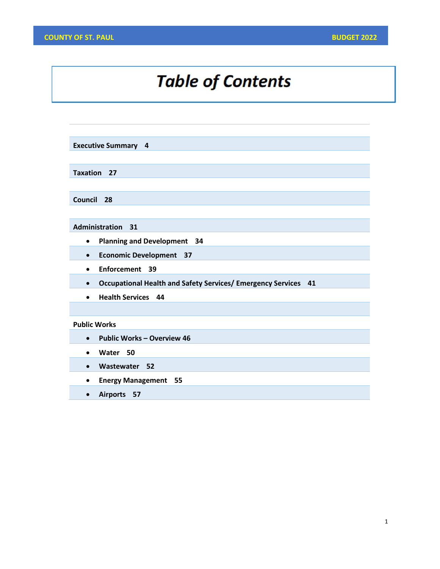# **Table of Contents**

**Executive Summary 4**

**Taxation 27**

**Council 28**

**Administration 31**

- **Planning and Development 34**
- **Economic Development 37**
- **Enforcement 39**
- **Occupational Health and Safety Services/ Emergency Services 41**
- **Health Services 44**

#### **Public Works**

- **Public Works – Overview 46**
- **Water 50**
- **Wastewater 52**
- **Energy Management 55**
- **Airports 57**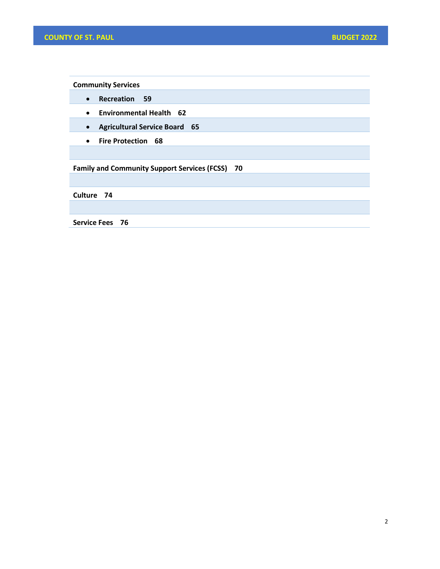**Community Services**

- **Recreation 59**
- **Environmental Health 62**
- **Agricultural Service Board 65**
- **Fire Protection 68**

**Family and Community Support Services (FCSS) 70**

**Culture 74**

**Service Fees 76**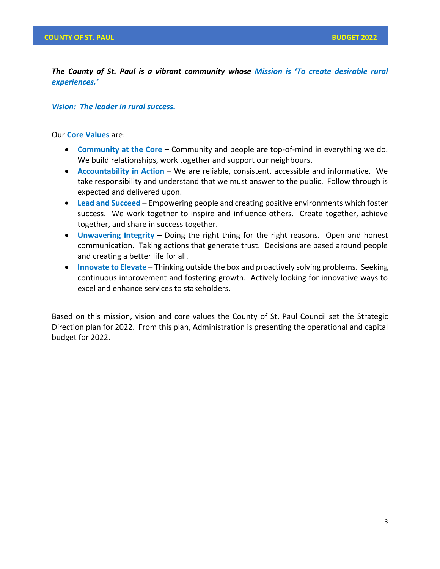*The County of St. Paul is a vibrant community whose Mission is 'To create desirable rural experiences.'*

## *Vision: The leader in rural success.*

Our **Core Values** are:

- **Community at the Core** Community and people are top-of-mind in everything we do. We build relationships, work together and support our neighbours.
- **Accountability in Action** We are reliable, consistent, accessible and informative. We take responsibility and understand that we must answer to the public. Follow through is expected and delivered upon.
- **Lead and Succeed** Empowering people and creating positive environments which foster success. We work together to inspire and influence others. Create together, achieve together, and share in success together.
- **Unwavering Integrity** Doing the right thing for the right reasons. Open and honest communication. Taking actions that generate trust. Decisions are based around people and creating a better life for all.
- **Innovate to Elevate** Thinking outside the box and proactively solving problems. Seeking continuous improvement and fostering growth. Actively looking for innovative ways to excel and enhance services to stakeholders.

Based on this mission, vision and core values the County of St. Paul Council set the Strategic Direction plan for 2022. From this plan, Administration is presenting the operational and capital budget for 2022.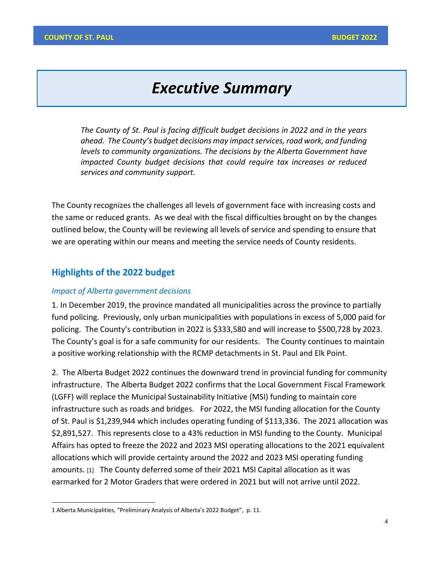# *Executive Summary*

*The County of St. Paul is facing difficult budget decisions in 2022 and in the years sahead. The County's budget decisions may impact services, road work, and funding levels to community organizations. The decisions by the Alberta Government have impacted County budget decisions that could require tax increases or reduced services and community support.* 

The County recognizes the challenges all levels of government face with increasing costs and the same or reduced grants. As we deal with the fiscal difficulties brought on by the changes outlined below, the County will be reviewing all levels of service and spending to ensure that we are operating within our means and meeting the service needs of County residents.

# **Highlights of the 2022 budget**

#### *Impact of Alberta government decisions*

1. In December 2019, the province mandated all municipalities across the province to partially fund policing. Previously, only urban municipalities with populations in excess of 5,000 paid for policing. The County's contribution in 2022 is \$333,580 and will increase to \$500,728 by 2023. The County's goal is for a safe community for our residents. The County continues to maintain a positive working relationship with the RCMP detachments in St. Paul and Elk Point.

2. The Alberta Budget 2022 continues the downward trend in provincial funding for community infrastructure. The Alberta Budget 2022 confirms that the Local Government Fiscal Framework (LGFF) will replace the Municipal Sustainability Initiative (MSI) funding to maintain core infrastructure such as roads and bridges. For 2022, the MSI funding allocation for the County of St. Paul is \$1,239,944 which includes operating funding of \$113,336. The 2021 allocation was \$2,891,527. This represents close to a 43% reduction in MSI funding to the County. Municipal Affairs has opted to freeze the 2022 and 2023 MSI operating allocations to the 2021 equivalent allocations which will provide certainty around the 2022 and 2023 MSI operating funding amounts. [1] The County deferred some of their 2021 MSI Capital allocation as it was earmarked for 2 Motor Graders that were ordered in 2021 but will not arrive until 2022.

<sup>1</sup> Alberta Municipalities, "Preliminary Analysis of Alberta's 2022 Budget", p. 11.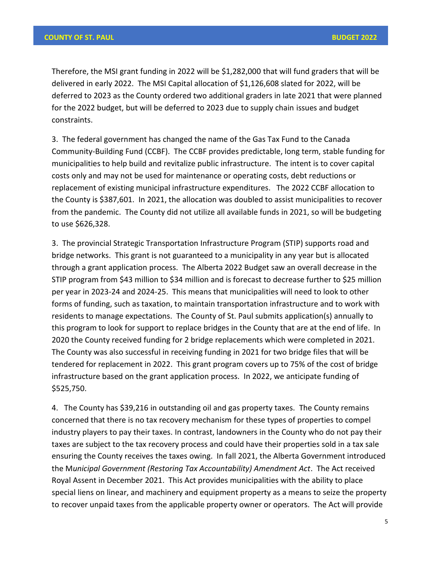Therefore, the MSI grant funding in 2022 will be \$1,282,000 that will fund graders that will be delivered in early 2022. The MSI Capital allocation of \$1,126,608 slated for 2022, will be deferred to 2023 as the County ordered two additional graders in late 2021 that were planned for the 2022 budget, but will be deferred to 2023 due to supply chain issues and budget constraints.

3. The federal government has changed the name of the Gas Tax Fund to the Canada Community-Building Fund (CCBF). The CCBF provides predictable, long term, stable funding for municipalities to help build and revitalize public infrastructure. The intent is to cover capital costs only and may not be used for maintenance or operating costs, debt reductions or replacement of existing municipal infrastructure expenditures. The 2022 CCBF allocation to the County is \$387,601. In 2021, the allocation was doubled to assist municipalities to recover from the pandemic. The County did not utilize all available funds in 2021, so will be budgeting to use \$626,328.

3. The provincial Strategic Transportation Infrastructure Program (STIP) supports road and bridge networks. This grant is not guaranteed to a municipality in any year but is allocated through a grant application process. The Alberta 2022 Budget saw an overall decrease in the STIP program from \$43 million to \$34 million and is forecast to decrease further to \$25 million per year in 2023-24 and 2024-25. This means that municipalities will need to look to other forms of funding, such as taxation, to maintain transportation infrastructure and to work with residents to manage expectations. The County of St. Paul submits application(s) annually to this program to look for support to replace bridges in the County that are at the end of life. In 2020 the County received funding for 2 bridge replacements which were completed in 2021. The County was also successful in receiving funding in 2021 for two bridge files that will be tendered for replacement in 2022. This grant program covers up to 75% of the cost of bridge infrastructure based on the grant application process. In 2022, we anticipate funding of \$525,750.

4. The County has \$39,216 in outstanding oil and gas property taxes. The County remains concerned that there is no tax recovery mechanism for these types of properties to compel industry players to pay their taxes. In contrast, landowners in the County who do not pay their taxes are subject to the tax recovery process and could have their properties sold in a tax sale ensuring the County receives the taxes owing. In fall 2021, the Alberta Government introduced the M*unicipal Government (Restoring Tax Accountability) Amendment Act*. The Act received Royal Assent in December 2021. This Act provides municipalities with the ability to place special liens on linear, and machinery and equipment property as a means to seize the property to recover unpaid taxes from the applicable property owner or operators. The Act will provide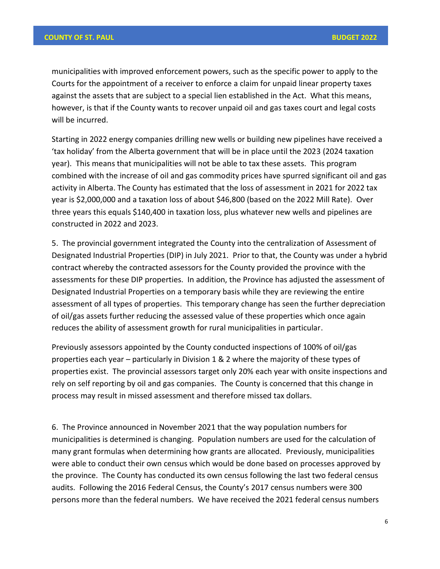municipalities with improved enforcement powers, such as the specific power to apply to the Courts for the appointment of a receiver to enforce a claim for unpaid linear property taxes against the assets that are subject to a special lien established in the Act. What this means, however, is that if the County wants to recover unpaid oil and gas taxes court and legal costs will be incurred.

Starting in 2022 energy companies drilling new wells or building new pipelines have received a 'tax holiday' from the Alberta government that will be in place until the 2023 (2024 taxation year). This means that municipalities will not be able to tax these assets. This program combined with the increase of oil and gas commodity prices have spurred significant oil and gas activity in Alberta. The County has estimated that the loss of assessment in 2021 for 2022 tax year is \$2,000,000 and a taxation loss of about \$46,800 (based on the 2022 Mill Rate). Over three years this equals \$140,400 in taxation loss, plus whatever new wells and pipelines are constructed in 2022 and 2023.

5. The provincial government integrated the County into the centralization of Assessment of Designated Industrial Properties (DIP) in July 2021. Prior to that, the County was under a hybrid contract whereby the contracted assessors for the County provided the province with the assessments for these DIP properties. In addition, the Province has adjusted the assessment of Designated Industrial Properties on a temporary basis while they are reviewing the entire assessment of all types of properties. This temporary change has seen the further depreciation of oil/gas assets further reducing the assessed value of these properties which once again reduces the ability of assessment growth for rural municipalities in particular.

Previously assessors appointed by the County conducted inspections of 100% of oil/gas properties each year – particularly in Division 1 & 2 where the majority of these types of properties exist. The provincial assessors target only 20% each year with onsite inspections and rely on self reporting by oil and gas companies. The County is concerned that this change in process may result in missed assessment and therefore missed tax dollars.

6. The Province announced in November 2021 that the way population numbers for municipalities is determined is changing. Population numbers are used for the calculation of many grant formulas when determining how grants are allocated. Previously, municipalities were able to conduct their own census which would be done based on processes approved by the province. The County has conducted its own census following the last two federal census audits. Following the 2016 Federal Census, the County's 2017 census numbers were 300 persons more than the federal numbers. We have received the 2021 federal census numbers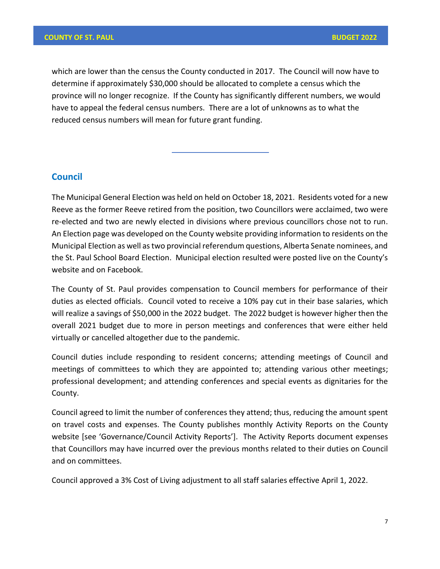which are lower than the census the County conducted in 2017. The Council will now have to determine if approximately \$30,000 should be allocated to complete a census which the province will no longer recognize. If the County has significantly different numbers, we would have to appeal the federal census numbers. There are a lot of unknowns as to what the reduced census numbers will mean for future grant funding.

# **Council**

The Municipal General Election was held on held on October 18, 2021. Residents voted for a new Reeve as the former Reeve retired from the position, two Councillors were acclaimed, two were re-elected and two are newly elected in divisions where previous councillors chose not to run. An Election page was developed on the County website providing information to residents on the Municipal Election as well as two provincial referendum questions, Alberta Senate nominees, and the St. Paul School Board Election. Municipal election resulted were posted live on the County's website and on Facebook.

The County of St. Paul provides compensation to Council members for performance of their duties as elected officials. Council voted to receive a 10% pay cut in their base salaries, which will realize a savings of \$50,000 in the 2022 budget. The 2022 budget is however higher then the overall 2021 budget due to more in person meetings and conferences that were either held virtually or cancelled altogether due to the pandemic.

Council duties include responding to resident concerns; attending meetings of Council and meetings of committees to which they are appointed to; attending various other meetings; professional development; and attending conferences and special events as dignitaries for the County.

Council agreed to limit the number of conferences they attend; thus, reducing the amount spent on travel costs and expenses. The County publishes monthly Activity Reports on the County website [see 'Governance/Council Activity Reports']. The Activity Reports document expenses that Councillors may have incurred over the previous months related to their duties on Council and on committees.

Council approved a 3% Cost of Living adjustment to all staff salaries effective April 1, 2022.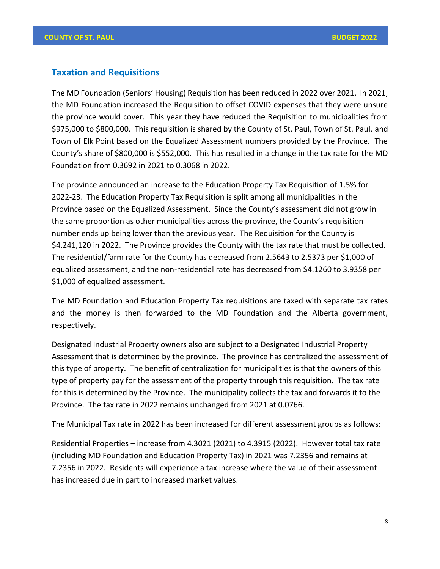## **Taxation and Requisitions**

The MD Foundation (Seniors' Housing) Requisition has been reduced in 2022 over 2021. In 2021, the MD Foundation increased the Requisition to offset COVID expenses that they were unsure the province would cover. This year they have reduced the Requisition to municipalities from \$975,000 to \$800,000. This requisition is shared by the County of St. Paul, Town of St. Paul, and Town of Elk Point based on the Equalized Assessment numbers provided by the Province. The County's share of \$800,000 is \$552,000. This has resulted in a change in the tax rate for the MD Foundation from 0.3692 in 2021 to 0.3068 in 2022.

The province announced an increase to the Education Property Tax Requisition of 1.5% for 2022-23. The Education Property Tax Requisition is split among all municipalities in the Province based on the Equalized Assessment. Since the County's assessment did not grow in the same proportion as other municipalities across the province, the County's requisition number ends up being lower than the previous year. The Requisition for the County is \$4,241,120 in 2022. The Province provides the County with the tax rate that must be collected. The residential/farm rate for the County has decreased from 2.5643 to 2.5373 per \$1,000 of equalized assessment, and the non-residential rate has decreased from \$4.1260 to 3.9358 per \$1,000 of equalized assessment.

The MD Foundation and Education Property Tax requisitions are taxed with separate tax rates and the money is then forwarded to the MD Foundation and the Alberta government, respectively.

Designated Industrial Property owners also are subject to a Designated Industrial Property Assessment that is determined by the province. The province has centralized the assessment of this type of property. The benefit of centralization for municipalities is that the owners of this type of property pay for the assessment of the property through this requisition. The tax rate for this is determined by the Province. The municipality collects the tax and forwards it to the Province. The tax rate in 2022 remains unchanged from 2021 at 0.0766.

The Municipal Tax rate in 2022 has been increased for different assessment groups as follows:

Residential Properties – increase from 4.3021 (2021) to 4.3915 (2022). However total tax rate (including MD Foundation and Education Property Tax) in 2021 was 7.2356 and remains at 7.2356 in 2022. Residents will experience a tax increase where the value of their assessment has increased due in part to increased market values.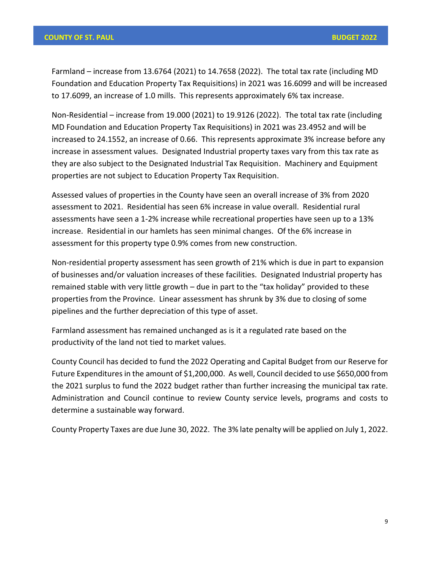Farmland – increase from 13.6764 (2021) to 14.7658 (2022). The total tax rate (including MD Foundation and Education Property Tax Requisitions) in 2021 was 16.6099 and will be increased to 17.6099, an increase of 1.0 mills. This represents approximately 6% tax increase.

Non-Residential – increase from 19.000 (2021) to 19.9126 (2022). The total tax rate (including MD Foundation and Education Property Tax Requisitions) in 2021 was 23.4952 and will be increased to 24.1552, an increase of 0.66. This represents approximate 3% increase before any increase in assessment values. Designated Industrial property taxes vary from this tax rate as they are also subject to the Designated Industrial Tax Requisition. Machinery and Equipment properties are not subject to Education Property Tax Requisition.

Assessed values of properties in the County have seen an overall increase of 3% from 2020 assessment to 2021. Residential has seen 6% increase in value overall. Residential rural assessments have seen a 1-2% increase while recreational properties have seen up to a 13% increase. Residential in our hamlets has seen minimal changes. Of the 6% increase in assessment for this property type 0.9% comes from new construction.

Non-residential property assessment has seen growth of 21% which is due in part to expansion of businesses and/or valuation increases of these facilities. Designated Industrial property has remained stable with very little growth – due in part to the "tax holiday" provided to these properties from the Province. Linear assessment has shrunk by 3% due to closing of some pipelines and the further depreciation of this type of asset.

Farmland assessment has remained unchanged as is it a regulated rate based on the productivity of the land not tied to market values.

County Council has decided to fund the 2022 Operating and Capital Budget from our Reserve for Future Expenditures in the amount of \$1,200,000. As well, Council decided to use \$650,000 from the 2021 surplus to fund the 2022 budget rather than further increasing the municipal tax rate. Administration and Council continue to review County service levels, programs and costs to determine a sustainable way forward.

County Property Taxes are due June 30, 2022. The 3% late penalty will be applied on July 1, 2022.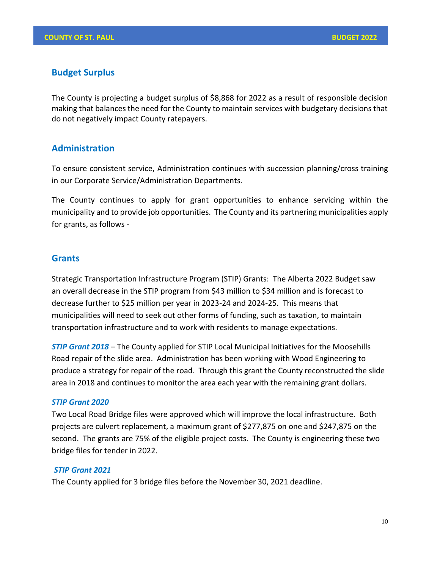# **Budget Surplus**

The County is projecting a budget surplus of \$8,868 for 2022 as a result of responsible decision making that balances the need for the County to maintain services with budgetary decisions that do not negatively impact County ratepayers.

## **Administration**

To ensure consistent service, Administration continues with succession planning/cross training in our Corporate Service/Administration Departments.

The County continues to apply for grant opportunities to enhance servicing within the municipality and to provide job opportunities. The County and its partnering municipalities apply for grants, as follows -

## **Grants**

Strategic Transportation Infrastructure Program (STIP) Grants: The Alberta 2022 Budget saw an overall decrease in the STIP program from \$43 million to \$34 million and is forecast to decrease further to \$25 million per year in 2023-24 and 2024-25. This means that municipalities will need to seek out other forms of funding, such as taxation, to maintain transportation infrastructure and to work with residents to manage expectations.

*STIP Grant 2018* – The County applied for STIP Local Municipal Initiatives for the Moosehills Road repair of the slide area. Administration has been working with Wood Engineering to produce a strategy for repair of the road. Through this grant the County reconstructed the slide area in 2018 and continues to monitor the area each year with the remaining grant dollars.

## *STIP Grant 2020*

Two Local Road Bridge files were approved which will improve the local infrastructure. Both projects are culvert replacement, a maximum grant of \$277,875 on one and \$247,875 on the second. The grants are 75% of the eligible project costs. The County is engineering these two bridge files for tender in 2022.

#### *STIP Grant 2021*

The County applied for 3 bridge files before the November 30, 2021 deadline.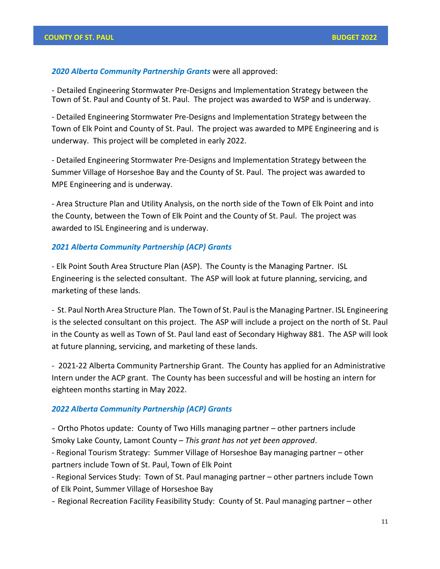#### *2020 Alberta Community Partnership Grants* were all approved:

- Detailed Engineering Stormwater Pre-Designs and Implementation Strategy between the Town of St. Paul and County of St. Paul. The project was awarded to WSP and is underway.

- Detailed Engineering Stormwater Pre-Designs and Implementation Strategy between the Town of Elk Point and County of St. Paul. The project was awarded to MPE Engineering and is underway. This project will be completed in early 2022.

- Detailed Engineering Stormwater Pre-Designs and Implementation Strategy between the Summer Village of Horseshoe Bay and the County of St. Paul. The project was awarded to MPE Engineering and is underway.

- Area Structure Plan and Utility Analysis, on the north side of the Town of Elk Point and into the County, between the Town of Elk Point and the County of St. Paul. The project was awarded to ISL Engineering and is underway.

#### *2021 Alberta Community Partnership (ACP) Grants*

- Elk Point South Area Structure Plan (ASP). The County is the Managing Partner. ISL Engineering is the selected consultant. The ASP will look at future planning, servicing, and marketing of these lands.

- St. Paul North Area Structure Plan. The Town of St. Paul isthe Managing Partner. ISL Engineering is the selected consultant on this project. The ASP will include a project on the north of St. Paul in the County as well as Town of St. Paul land east of Secondary Highway 881. The ASP will look at future planning, servicing, and marketing of these lands.

- 2021-22 Alberta Community Partnership Grant. The County has applied for an Administrative Intern under the ACP grant. The County has been successful and will be hosting an intern for eighteen months starting in May 2022.

#### *2022 Alberta Community Partnership (ACP) Grants*

- Ortho Photos update: County of Two Hills managing partner – other partners include Smoky Lake County, Lamont County – *This grant has not yet been approved*.

- Regional Tourism Strategy: Summer Village of Horseshoe Bay managing partner – other partners include Town of St. Paul, Town of Elk Point

- Regional Services Study: Town of St. Paul managing partner – other partners include Town of Elk Point, Summer Village of Horseshoe Bay

- Regional Recreation Facility Feasibility Study: County of St. Paul managing partner – other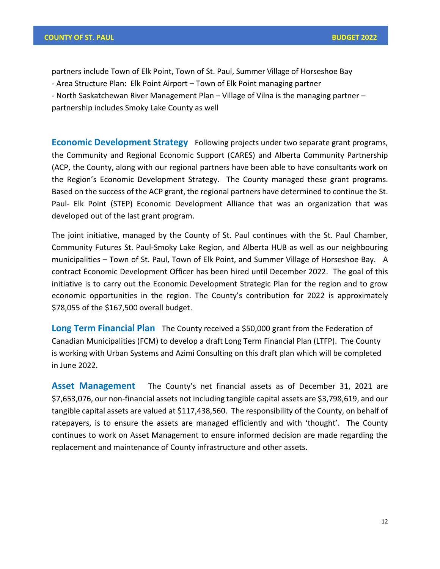partners include Town of Elk Point, Town of St. Paul, Summer Village of Horseshoe Bay - Area Structure Plan: Elk Point Airport – Town of Elk Point managing partner - North Saskatchewan River Management Plan – Village of Vilna is the managing partner – partnership includes Smoky Lake County as well

**Economic Development Strategy** Following projects under two separate grant programs, the Community and Regional Economic Support (CARES) and Alberta Community Partnership (ACP, the County, along with our regional partners have been able to have consultants work on the Region's Economic Development Strategy. The County managed these grant programs. Based on the success of the ACP grant, the regional partners have determined to continue the St. Paul- Elk Point (STEP) Economic Development Alliance that was an organization that was developed out of the last grant program.

The joint initiative, managed by the County of St. Paul continues with the St. Paul Chamber, Community Futures St. Paul-Smoky Lake Region, and Alberta HUB as well as our neighbouring municipalities – Town of St. Paul, Town of Elk Point, and Summer Village of Horseshoe Bay. A contract Economic Development Officer has been hired until December 2022. The goal of this initiative is to carry out the Economic Development Strategic Plan for the region and to grow economic opportunities in the region. The County's contribution for 2022 is approximately \$78,055 of the \$167,500 overall budget.

**Long Term Financial Plan** The County received a \$50,000 grant from the Federation of Canadian Municipalities (FCM) to develop a draft Long Term Financial Plan (LTFP). The County is working with Urban Systems and Azimi Consulting on this draft plan which will be completed in June 2022.

**Asset Management** The County's net financial assets as of December 31, 2021 are \$7,653,076, our non-financial assets not including tangible capital assets are \$3,798,619, and our tangible capital assets are valued at \$117,438,560.The responsibility of the County, on behalf of ratepayers, is to ensure the assets are managed efficiently and with 'thought'. The County continues to work on Asset Management to ensure informed decision are made regarding the replacement and maintenance of County infrastructure and other assets.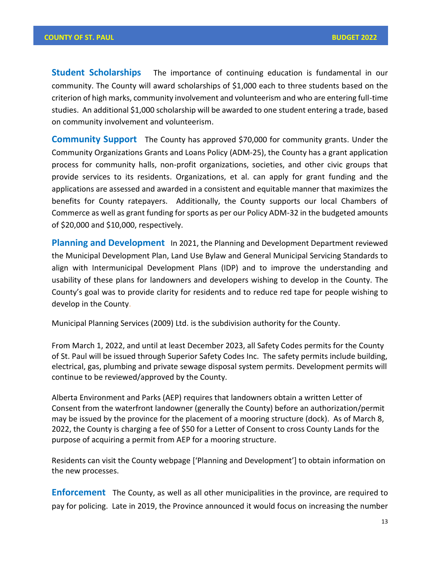**Student Scholarships** The importance of continuing education is fundamental in our community. The County will award scholarships of \$1,000 each to three students based on the criterion of high marks, community involvement and volunteerism and who are entering full-time studies. An additional \$1,000 scholarship will be awarded to one student entering a trade, based on community involvement and volunteerism.

**Community Support** The County has approved \$70,000 for community grants. Under the Community Organizations Grants and Loans Policy (ADM-25), the County has a grant application process for community halls, non-profit organizations, societies, and other civic groups that provide services to its residents. Organizations, et al. can apply for grant funding and the applications are assessed and awarded in a consistent and equitable manner that maximizes the benefits for County ratepayers. Additionally, the County supports our local Chambers of Commerce as well as grant funding for sports as per our Policy ADM-32 in the budgeted amounts of \$20,000 and \$10,000, respectively.

**Planning and Development** In 2021, the Planning and Development Department reviewed the Municipal Development Plan, Land Use Bylaw and General Municipal Servicing Standards to align with Intermunicipal Development Plans (IDP) and to improve the understanding and usability of these plans for landowners and developers wishing to develop in the County. The County's goal was to provide clarity for residents and to reduce red tape for people wishing to develop in the County.

Municipal Planning Services (2009) Ltd. is the subdivision authority for the County.

From March 1, 2022, and until at least December 2023, all Safety Codes permits for the County of St. Paul will be issued through Superior Safety Codes Inc. The safety permits include building, electrical, gas, plumbing and private sewage disposal system permits. Development permits will continue to be reviewed/approved by the County.

Alberta Environment and Parks (AEP) requires that landowners obtain a written Letter of Consent from the waterfront landowner (generally the County) before an authorization/permit may be issued by the province for the placement of a mooring structure (dock). As of March 8, 2022, the County is charging a fee of \$50 for a Letter of Consent to cross County Lands for the purpose of acquiring a permit from AEP for a mooring structure.

Residents can visit the County webpage ['Planning and Development'] to obtain information on the new processes.

**Enforcement** The County, as well as all other municipalities in the province, are required to pay for policing. Late in 2019, the Province announced it would focus on increasing the number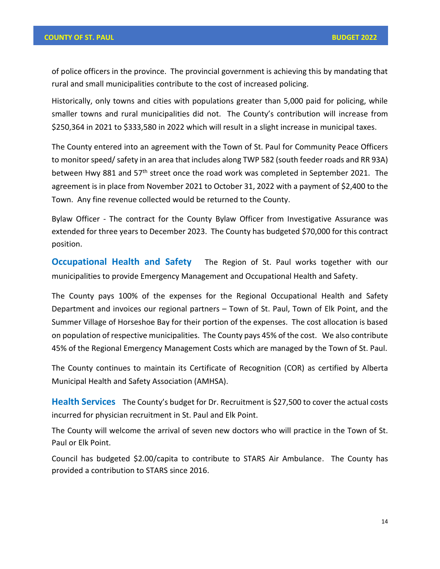of police officers in the province. The provincial government is achieving this by mandating that rural and small municipalities contribute to the cost of increased policing.

Historically, only towns and cities with populations greater than 5,000 paid for policing, while smaller towns and rural municipalities did not. The County's contribution will increase from \$250,364 in 2021 to \$333,580 in 2022 which will result in a slight increase in municipal taxes.

The County entered into an agreement with the Town of St. Paul for Community Peace Officers to monitor speed/ safety in an area that includes along TWP 582 (south feeder roads and RR 93A) between Hwy 881 and 57<sup>th</sup> street once the road work was completed in September 2021. The agreement is in place from November 2021 to October 31, 2022 with a payment of \$2,400 to the Town. Any fine revenue collected would be returned to the County.

Bylaw Officer - The contract for the County Bylaw Officer from Investigative Assurance was extended for three years to December 2023. The County has budgeted \$70,000 for this contract position.

**Occupational Health and Safety** The Region of St. Paul works together with our municipalities to provide Emergency Management and Occupational Health and Safety.

The County pays 100% of the expenses for the Regional Occupational Health and Safety Department and invoices our regional partners – Town of St. Paul, Town of Elk Point, and the Summer Village of Horseshoe Bay for their portion of the expenses. The cost allocation is based on population of respective municipalities. The County pays 45% of the cost. We also contribute 45% of the Regional Emergency Management Costs which are managed by the Town of St. Paul.

The County continues to maintain its Certificate of Recognition (COR) as certified by Alberta Municipal Health and Safety Association (AMHSA).

**Health Services** The County's budget for Dr. Recruitment is \$27,500 to cover the actual costs incurred for physician recruitment in St. Paul and Elk Point.

The County will welcome the arrival of seven new doctors who will practice in the Town of St. Paul or Elk Point.

Council has budgeted \$2.00/capita to contribute to STARS Air Ambulance. The County has provided a contribution to STARS since 2016.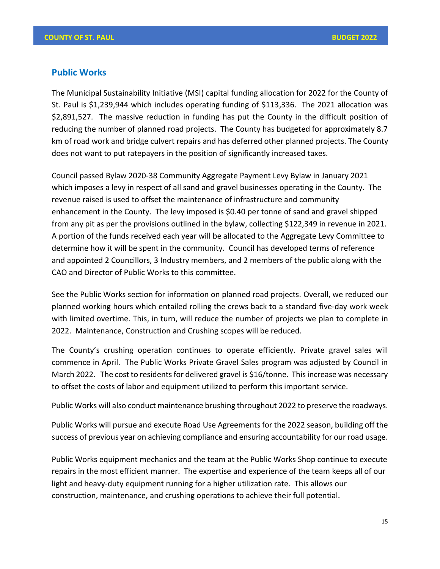## **Public Works**

The Municipal Sustainability Initiative (MSI) capital funding allocation for 2022 for the County of St. Paul is \$1,239,944 which includes operating funding of \$113,336. The 2021 allocation was \$2,891,527. The massive reduction in funding has put the County in the difficult position of reducing the number of planned road projects. The County has budgeted for approximately 8.7 km of road work and bridge culvert repairs and has deferred other planned projects. The County does not want to put ratepayers in the position of significantly increased taxes.

Council passed Bylaw 2020-38 Community Aggregate Payment Levy Bylaw in January 2021 which imposes a levy in respect of all sand and gravel businesses operating in the County. The revenue raised is used to offset the maintenance of infrastructure and community enhancement in the County. The levy imposed is \$0.40 per tonne of sand and gravel shipped from any pit as per the provisions outlined in the bylaw, collecting \$122,349 in revenue in 2021. A portion of the funds received each year will be allocated to the Aggregate Levy Committee to determine how it will be spent in the community. Council has developed terms of reference and appointed 2 Councillors, 3 Industry members, and 2 members of the public along with the CAO and Director of Public Works to this committee.

See the Public Works section for information on planned road projects. Overall, we reduced our planned working hours which entailed rolling the crews back to a standard five-day work week with limited overtime. This, in turn, will reduce the number of projects we plan to complete in 2022. Maintenance, Construction and Crushing scopes will be reduced.

The County's crushing operation continues to operate efficiently. Private gravel sales will commence in April. The Public Works Private Gravel Sales program was adjusted by Council in March 2022. The cost to residents for delivered gravel is \$16/tonne. This increase was necessary to offset the costs of labor and equipment utilized to perform this important service.

Public Works will also conduct maintenance brushing throughout 2022 to preserve the roadways.

Public Works will pursue and execute Road Use Agreements for the 2022 season, building off the success of previous year on achieving compliance and ensuring accountability for our road usage.

Public Works equipment mechanics and the team at the Public Works Shop continue to execute repairs in the most efficient manner. The expertise and experience of the team keeps all of our light and heavy-duty equipment running for a higher utilization rate. This allows our construction, maintenance, and crushing operations to achieve their full potential.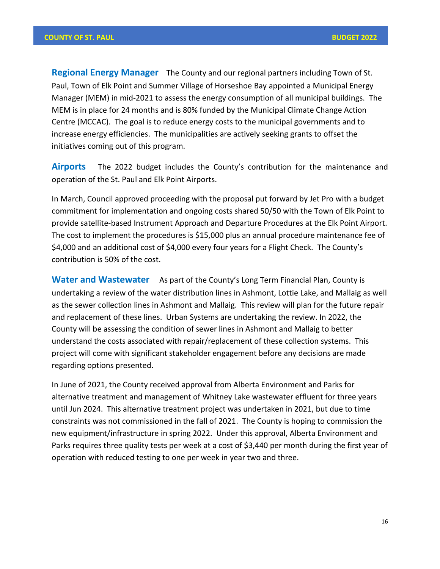**Regional Energy Manager** The County and our regional partners including Town of St. Paul, Town of Elk Point and Summer Village of Horseshoe Bay appointed a Municipal Energy Manager (MEM) in mid-2021 to assess the energy consumption of all municipal buildings. The MEM is in place for 24 months and is 80% funded by the Municipal Climate Change Action Centre (MCCAC). The goal is to reduce energy costs to the municipal governments and to increase energy efficiencies. The municipalities are actively seeking grants to offset the initiatives coming out of this program.

**Airports** The 2022 budget includes the County's contribution for the maintenance and operation of the St. Paul and Elk Point Airports.

In March, Council approved proceeding with the proposal put forward by Jet Pro with a budget commitment for implementation and ongoing costs shared 50/50 with the Town of Elk Point to provide satellite-based Instrument Approach and Departure Procedures at the Elk Point Airport. The cost to implement the procedures is \$15,000 plus an annual procedure maintenance fee of \$4,000 and an additional cost of \$4,000 every four years for a Flight Check. The County's contribution is 50% of the cost.

**Water and Wastewater** As part of the County's Long Term Financial Plan, County is undertaking a review of the water distribution lines in Ashmont, Lottie Lake, and Mallaig as well as the sewer collection lines in Ashmont and Mallaig. This review will plan for the future repair and replacement of these lines. Urban Systems are undertaking the review. In 2022, the County will be assessing the condition of sewer lines in Ashmont and Mallaig to better understand the costs associated with repair/replacement of these collection systems. This project will come with significant stakeholder engagement before any decisions are made regarding options presented.

In June of 2021, the County received approval from Alberta Environment and Parks for alternative treatment and management of Whitney Lake wastewater effluent for three years until Jun 2024. This alternative treatment project was undertaken in 2021, but due to time constraints was not commissioned in the fall of 2021. The County is hoping to commission the new equipment/infrastructure in spring 2022. Under this approval, Alberta Environment and Parks requires three quality tests per week at a cost of \$3,440 per month during the first year of operation with reduced testing to one per week in year two and three.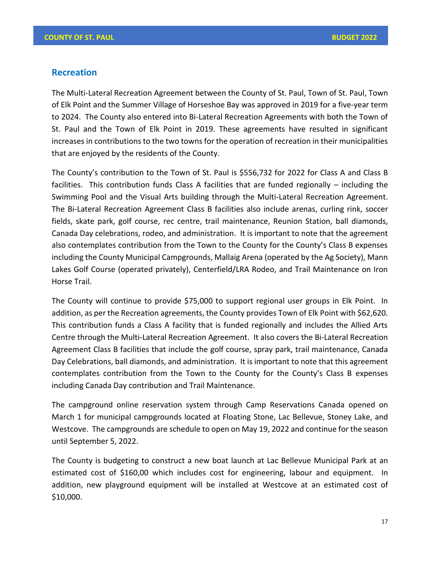# **Recreation**

The Multi-Lateral Recreation Agreement between the County of St. Paul, Town of St. Paul, Town of Elk Point and the Summer Village of Horseshoe Bay was approved in 2019 for a five-year term to 2024. The County also entered into Bi-Lateral Recreation Agreements with both the Town of St. Paul and the Town of Elk Point in 2019. These agreements have resulted in significant increases in contributions to the two towns for the operation of recreation in their municipalities that are enjoyed by the residents of the County.

The County's contribution to the Town of St. Paul is \$556,732 for 2022 for Class A and Class B facilities. This contribution funds Class A facilities that are funded regionally – including the Swimming Pool and the Visual Arts building through the Multi-Lateral Recreation Agreement. The Bi-Lateral Recreation Agreement Class B facilities also include arenas, curling rink, soccer fields, skate park, golf course, rec centre, trail maintenance, Reunion Station, ball diamonds, Canada Day celebrations, rodeo, and administration. It is important to note that the agreement also contemplates contribution from the Town to the County for the County's Class B expenses including the County Municipal Campgrounds, Mallaig Arena (operated by the Ag Society), Mann Lakes Golf Course (operated privately), Centerfield/LRA Rodeo, and Trail Maintenance on Iron Horse Trail.

The County will continue to provide \$75,000 to support regional user groups in Elk Point. In addition, as per the Recreation agreements, the County provides Town of Elk Point with \$62,620. This contribution funds a Class A facility that is funded regionally and includes the Allied Arts Centre through the Multi-Lateral Recreation Agreement. It also covers the Bi-Lateral Recreation Agreement Class B facilities that include the golf course, spray park, trail maintenance, Canada Day Celebrations, ball diamonds, and administration. It is important to note that this agreement contemplates contribution from the Town to the County for the County's Class B expenses including Canada Day contribution and Trail Maintenance.

The campground online reservation system through Camp Reservations Canada opened on March 1 for municipal campgrounds located at Floating Stone, Lac Bellevue, Stoney Lake, and Westcove. The campgrounds are schedule to open on May 19, 2022 and continue for the season until September 5, 2022.

The County is budgeting to construct a new boat launch at Lac Bellevue Municipal Park at an estimated cost of \$160,00 which includes cost for engineering, labour and equipment. In addition, new playground equipment will be installed at Westcove at an estimated cost of \$10,000.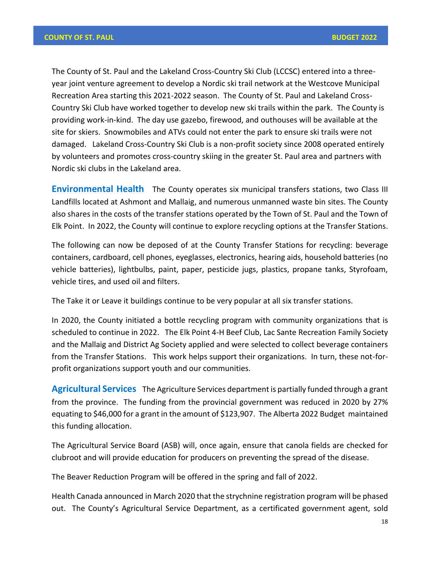The County of St. Paul and the Lakeland Cross-Country Ski Club (LCCSC) entered into a threeyear joint venture agreement to develop a Nordic ski trail network at the Westcove Municipal Recreation Area starting this 2021-2022 season. The County of St. Paul and Lakeland Cross-Country Ski Club have worked together to develop new ski trails within the park. The County is providing work-in-kind. The day use gazebo, firewood, and outhouses will be available at the site for skiers. Snowmobiles and ATVs could not enter the park to ensure ski trails were not damaged. Lakeland Cross-Country Ski Club is a non-profit society since 2008 operated entirely by volunteers and promotes cross-country skiing in the greater St. Paul area and partners with Nordic ski clubs in the Lakeland area.

**Environmental Health** The County operates six municipal transfers stations, two Class III Landfills located at Ashmont and Mallaig, and numerous unmanned waste bin sites. The County also shares in the costs of the transfer stations operated by the Town of St. Paul and the Town of Elk Point. In 2022, the County will continue to explore recycling options at the Transfer Stations.

The following can now be deposed of at the County Transfer Stations for recycling: beverage containers, cardboard, cell phones, eyeglasses, electronics, hearing aids, household batteries (no vehicle batteries), lightbulbs, paint, paper, pesticide jugs, plastics, propane tanks, Styrofoam, vehicle tires, and used oil and filters.

The Take it or Leave it buildings continue to be very popular at all six transfer stations.

In 2020, the County initiated a bottle recycling program with community organizations that is scheduled to continue in 2022. The Elk Point 4-H Beef Club, Lac Sante Recreation Family Society and the Mallaig and District Ag Society applied and were selected to collect beverage containers from the Transfer Stations. This work helps support their organizations. In turn, these not-forprofit organizations support youth and our communities.

**Agricultural Services** The Agriculture Services department is partially funded through a grant from the province. The funding from the provincial government was reduced in 2020 by 27% equating to \$46,000 for a grant in the amount of \$123,907. The Alberta 2022 Budget maintained this funding allocation.

The Agricultural Service Board (ASB) will, once again, ensure that canola fields are checked for clubroot and will provide education for producers on preventing the spread of the disease.

The Beaver Reduction Program will be offered in the spring and fall of 2022.

Health Canada announced in March 2020 that the strychnine registration program will be phased out. The County's Agricultural Service Department, as a certificated government agent, sold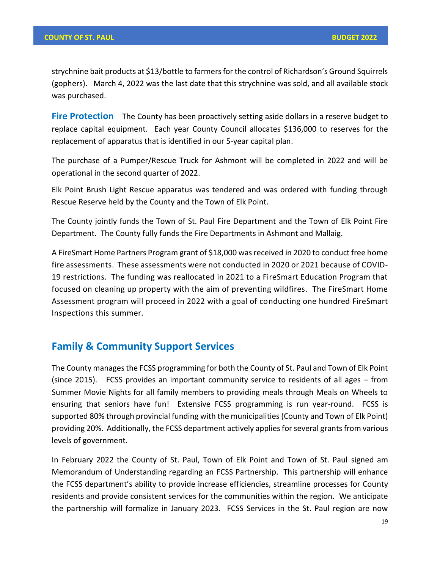strychnine bait products at \$13/bottle to farmers for the control of Richardson's Ground Squirrels (gophers). March 4, 2022 was the last date that this strychnine was sold, and all available stock was purchased.

**Fire Protection** The County has been proactively setting aside dollars in a reserve budget to replace capital equipment. Each year County Council allocates \$136,000 to reserves for the replacement of apparatus that is identified in our 5-year capital plan.

The purchase of a Pumper/Rescue Truck for Ashmont will be completed in 2022 and will be operational in the second quarter of 2022.

Elk Point Brush Light Rescue apparatus was tendered and was ordered with funding through Rescue Reserve held by the County and the Town of Elk Point.

The County jointly funds the Town of St. Paul Fire Department and the Town of Elk Point Fire Department. The County fully funds the Fire Departments in Ashmont and Mallaig.

A FireSmart Home Partners Program grant of \$18,000 was received in 2020 to conduct free home fire assessments. These assessments were not conducted in 2020 or 2021 because of COVID-19 restrictions. The funding was reallocated in 2021 to a FireSmart Education Program that focused on cleaning up property with the aim of preventing wildfires. The FireSmart Home Assessment program will proceed in 2022 with a goal of conducting one hundred FireSmart Inspections this summer.

# **Family & Community Support Services**

The County manages the FCSS programming for both the County of St. Paul and Town of Elk Point (since 2015). FCSS provides an important community service to residents of all ages – from Summer Movie Nights for all family members to providing meals through Meals on Wheels to ensuring that seniors have fun! Extensive FCSS programming is run year-round. FCSS is supported 80% through provincial funding with the municipalities (County and Town of Elk Point) providing 20%. Additionally, the FCSS department actively applies for several grants from various levels of government.

In February 2022 the County of St. Paul, Town of Elk Point and Town of St. Paul signed am Memorandum of Understanding regarding an FCSS Partnership. This partnership will enhance the FCSS department's ability to provide increase efficiencies, streamline processes for County residents and provide consistent services for the communities within the region. We anticipate the partnership will formalize in January 2023. FCSS Services in the St. Paul region are now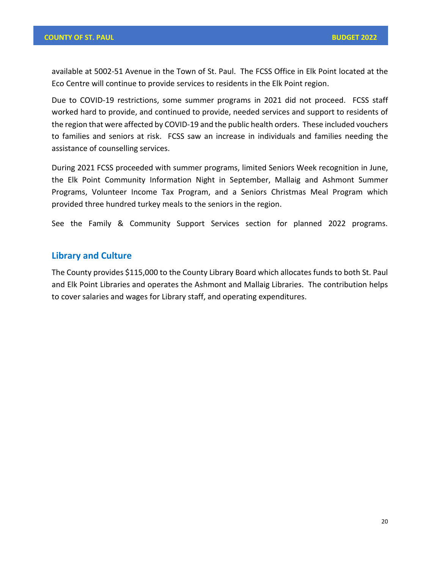available at 5002-51 Avenue in the Town of St. Paul. The FCSS Office in Elk Point located at the Eco Centre will continue to provide services to residents in the Elk Point region.

Due to COVID-19 restrictions, some summer programs in 2021 did not proceed. FCSS staff worked hard to provide, and continued to provide, needed services and support to residents of the region that were affected by COVID-19 and the public health orders. These included vouchers to families and seniors at risk. FCSS saw an increase in individuals and families needing the assistance of counselling services.

During 2021 FCSS proceeded with summer programs, limited Seniors Week recognition in June, the Elk Point Community Information Night in September, Mallaig and Ashmont Summer Programs, Volunteer Income Tax Program, and a Seniors Christmas Meal Program which provided three hundred turkey meals to the seniors in the region.

See the Family & Community Support Services section for planned 2022 programs.

# **Library and Culture**

The County provides \$115,000 to the County Library Board which allocates funds to both St. Paul and Elk Point Libraries and operates the Ashmont and Mallaig Libraries. The contribution helps to cover salaries and wages for Library staff, and operating expenditures.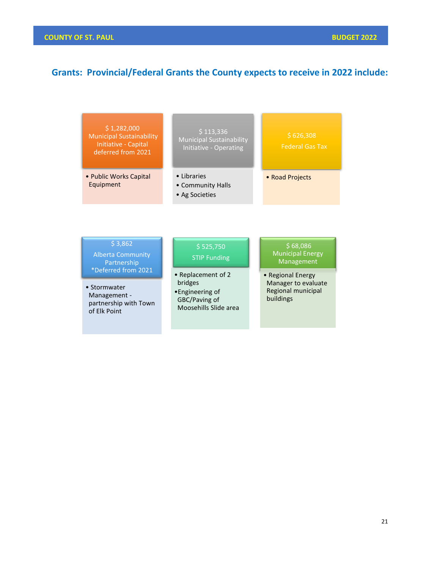# **Grants: Provincial/Federal Grants the County expects to receive in 2022 include:**

| \$1,282,000<br><b>Municipal Sustainability</b><br>Initiative - Capital<br>deferred from 2021                                                       | \$113,336<br><b>Municipal Sustainability</b><br>Initiative - Operating                                                         | \$626,308<br><b>Federal Gas Tax</b>                                                                                                     |
|----------------------------------------------------------------------------------------------------------------------------------------------------|--------------------------------------------------------------------------------------------------------------------------------|-----------------------------------------------------------------------------------------------------------------------------------------|
| • Public Works Capital<br>Equipment                                                                                                                | • Libraries<br>• Community Halls<br>• Ag Societies                                                                             | • Road Projects                                                                                                                         |
| \$3,862<br><b>Alberta Community</b><br>Partnership<br>*Deferred from 2021<br>• Stormwater<br>Management -<br>partnership with Town<br>of Elk Point | \$525,750<br><b>STIP Funding</b><br>• Replacement of 2<br>bridges<br>•Engineering of<br>GBC/Paving of<br>Moosehills Slide area | \$68,086<br><b>Municipal Energy</b><br><b>Management</b><br>• Regional Energy<br>Manager to evaluate<br>Regional municipal<br>buildings |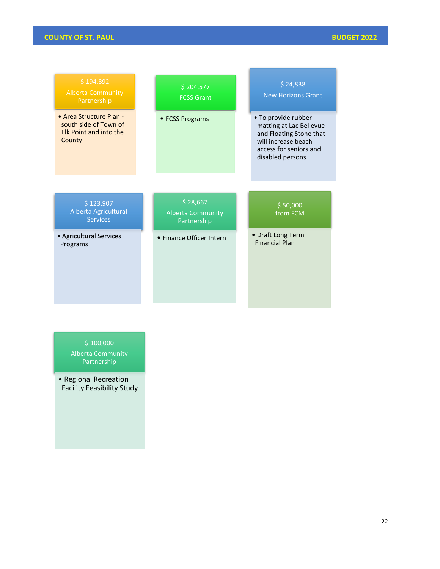# **COUNTY OF ST. PAUL BUDGET 2022**

| \$194,892<br><b>Alberta Community</b><br>Partnership                                        | \$204,577<br><b>FCSS Grant</b>                      | \$24,838<br><b>New Horizons Grant</b>                                                                                                           |
|---------------------------------------------------------------------------------------------|-----------------------------------------------------|-------------------------------------------------------------------------------------------------------------------------------------------------|
| • Area Structure Plan -<br>south side of Town of<br><b>Elk Point and into the</b><br>County | • FCSS Programs                                     | • To provide rubber<br>matting at Lac Bellevue<br>and Floating Stone that<br>will increase beach<br>access for seniors and<br>disabled persons. |
|                                                                                             |                                                     |                                                                                                                                                 |
| \$123,907<br>Alberta Agricultural<br><b>Services</b>                                        | \$28,667<br><b>Alberta Community</b><br>Partnership | \$50,000<br>from FCM                                                                                                                            |
| • Agricultural Services<br>Programs                                                         | • Finance Officer Intern                            | • Draft Long Term<br><b>Financial Plan</b>                                                                                                      |

 $$100,000$ 

Alberta Community Partnership

• Regional Recreation Facility Feasibility Study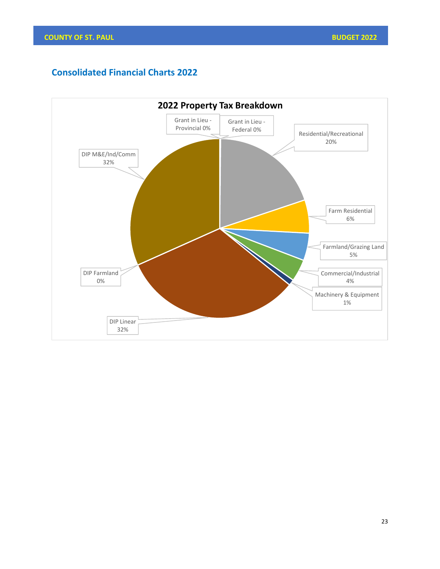# **Consolidated Financial Charts 2022**

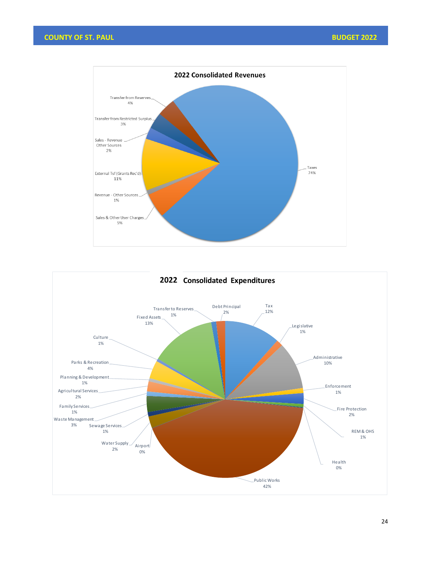

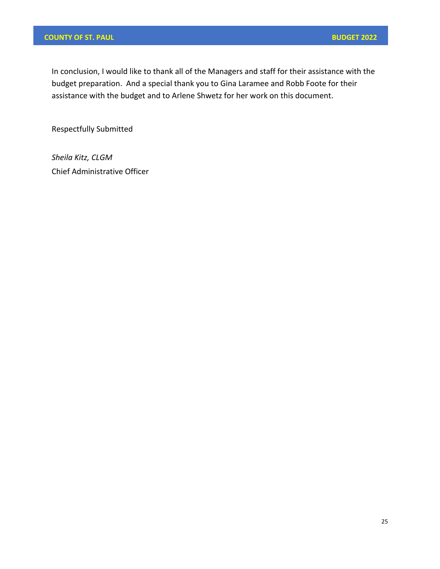# **COUNTY OF ST. PAUL BUDGET 2022**

In conclusion, I would like to thank all of the Managers and staff for their assistance with the budget preparation. And a special thank you to Gina Laramee and Robb Foote for their assistance with the budget and to Arlene Shwetz for her work on this document.

Respectfully Submitted

*Sheila Kitz, CLGM* Chief Administrative Officer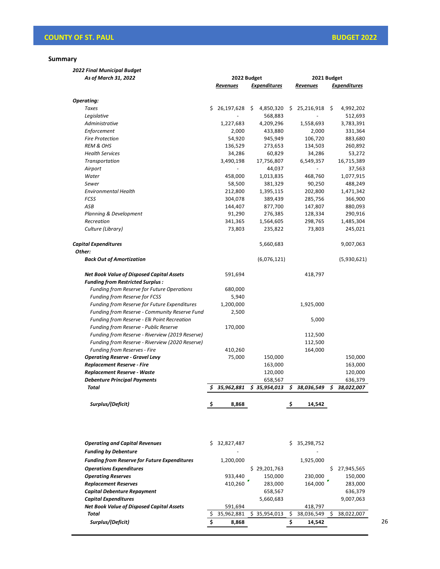**Summary** 

*2022 Final Municipal Budget As of March 31, 2022*

| As of March 31, 2022                             |     | 2022 Budget |    |                     |     | 2021 Budget     |    |                     |
|--------------------------------------------------|-----|-------------|----|---------------------|-----|-----------------|----|---------------------|
|                                                  |     | Revenues    |    | <b>Expenditures</b> |     | <b>Revenues</b> |    | <b>Expenditures</b> |
| Operating:                                       |     |             |    |                     |     |                 |    |                     |
| Taxes                                            | \$. | 26,197,628  | \$ | 4,850,320           | \$. | 25,216,918      | \$ | 4,992,202           |
| Legislative                                      |     |             |    | 568,883             |     |                 |    | 512,693             |
| Administrative                                   |     | 1,227,683   |    | 4,209,296           |     | 1,558,693       |    | 3,783,391           |
| Enforcement                                      |     | 2,000       |    | 433,880             |     | 2,000           |    | 331,364             |
| <b>Fire Protection</b>                           |     | 54,920      |    | 945,949             |     | 106,720         |    | 883,680             |
| <b>REM &amp; OHS</b>                             |     | 136,529     |    | 273,653             |     | 134,503         |    | 260,892             |
| <b>Health Services</b>                           |     | 34,286      |    | 60,829              |     | 34,286          |    | 53,272              |
| Transportation                                   |     | 3,490,198   |    | 17,756,807          |     | 6,549,357       |    | 16,715,389          |
| Airport                                          |     |             |    | 44,037              |     |                 |    | 37,563              |
| Water                                            |     | 458,000     |    | 1,013,835           |     | 468,760         |    | 1,077,915           |
| Sewer                                            |     | 58,500      |    | 381,329             |     | 90,250          |    | 488,249             |
| <b>Environmental Health</b>                      |     | 212,800     |    | 1,395,115           |     | 202,800         |    | 1,471,342           |
| <b>FCSS</b>                                      |     | 304,078     |    | 389,439             |     | 285,756         |    | 366,900             |
| ASB                                              |     | 144,407     |    | 877,700             |     | 147,807         |    | 880,093             |
| Planning & Development                           |     | 91,290      |    | 276,385             |     | 128,334         |    | 290,916             |
| Recreation                                       |     | 341,365     |    | 1,564,605           |     | 298,765         |    | 1,485,304           |
| Culture (Library)                                |     | 73,803      |    | 235,822             |     | 73,803          |    | 245,021             |
| <b>Capital Expenditures</b>                      |     |             |    | 5,660,683           |     |                 |    | 9,007,063           |
| Other:                                           |     |             |    |                     |     |                 |    |                     |
| <b>Back Out of Amortization</b>                  |     |             |    | (6,076,121)         |     |                 |    | (5,930,621)         |
| <b>Net Book Value of Disposed Capital Assets</b> |     | 591,694     |    |                     |     | 418,797         |    |                     |
| <b>Funding from Restricted Surplus:</b>          |     |             |    |                     |     |                 |    |                     |
| Funding from Reserve for Future Operations       |     | 680,000     |    |                     |     |                 |    |                     |
| <b>Funding from Reserve for FCSS</b>             |     | 5,940       |    |                     |     |                 |    |                     |
| Funding from Reserve for Future Expenditures     |     | 1,200,000   |    |                     |     | 1,925,000       |    |                     |
| Funding from Reserve - Community Reserve Fund    |     | 2,500       |    |                     |     |                 |    |                     |
| Funding from Reserve - Elk Point Recreation      |     |             |    |                     |     | 5,000           |    |                     |
| Funding from Reserve - Public Reserve            |     | 170,000     |    |                     |     |                 |    |                     |
| Funding from Reserve - Riverview (2019 Reserve)  |     |             |    |                     |     | 112,500         |    |                     |
| Funding from Reserve - Riverview (2020 Reserve)  |     |             |    |                     |     | 112,500         |    |                     |
| <b>Funding from Reserves - Fire</b>              |     | 410,260     |    |                     |     | 164,000         |    |                     |
| <b>Operating Reserve - Gravel Levy</b>           |     | 75,000      |    | 150,000             |     |                 |    | 150,000             |
| <b>Replacement Reserve - Fire</b>                |     |             |    | 163,000             |     |                 |    | 163,000             |
| Replacement Reserve - Waste                      |     |             |    | 120,000             |     |                 |    | 120,000             |
| <b>Debenture Principal Payments</b>              |     |             |    | 658,567             |     |                 |    | 636,379             |
| Total                                            | \$  | 35,962,881  |    | \$35,954,013        | \$  | 38,036,549      | \$ | 38,022,007          |
| Surplus/(Deficit)                                | \$  | 8,868       |    |                     | \$  | 14,542          |    |                     |

| <b>Funding by Debenture</b>                                                   |            |
|-------------------------------------------------------------------------------|------------|
| <b>Funding from Reserve for Future Expenditures</b><br>1,925,000<br>1,200,000 |            |
| \$29,201,763<br><b>Operations Expenditures</b><br>S                           | 27,945,565 |
| 150.000<br><b>Operating Reserves</b><br>933,440<br>230,000                    | 150,000    |
| 410,260<br>283,000<br>164,000<br><b>Replacement Reserves</b>                  | 283,000    |
| <b>Capital Debenture Repayment</b><br>658,567                                 | 636,379    |
| <b>Capital Expenditures</b><br>5,660,683                                      | 9,007,063  |
| <b>Net Book Value of Disposed Capital Assets</b><br>418,797<br>591,694        |            |
| 35,962,881<br>38,036,549<br>Total<br>\$35,954,013                             | 38,022,007 |
| Surplus/(Deficit)<br>8,868<br>14,542                                          |            |

26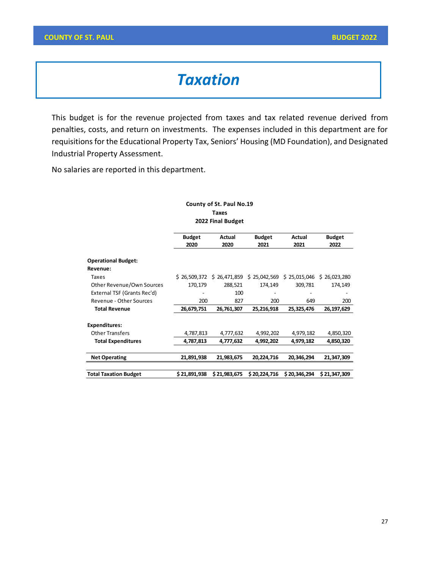# *Taxation*

This budget is for the revenue projected from taxes and tax related revenue derived from penalties, costs, and return on investments. The expenses included in this department are for requisitions for the Educational Property Tax, Seniors' Housing (MD Foundation), and Designated Industrial Property Assessment.

No salaries are reported in this department.

#### **County of St. Paul No.19 Taxes 2022 Final Budget**

|                                        | <b>Budget</b><br>2020 | Actual<br>2020 | <b>Budget</b><br>2021 | Actual<br>2021 | <b>Budget</b><br>2022 |  |
|----------------------------------------|-----------------------|----------------|-----------------------|----------------|-----------------------|--|
| <b>Operational Budget:</b><br>Revenue: |                       |                |                       |                |                       |  |
| Taxes                                  | \$26.509.372          | \$26,471,859   | \$25,042,569          | \$25,015,046   | \$26,023,280          |  |
| Other Revenue/Own Sources              | 170,179               | 288,521        | 174,149               | 309,781        | 174,149               |  |
| External TSF (Grants Rec'd)            |                       | 100            |                       |                |                       |  |
| Revenue - Other Sources                | 200                   | 827            | 200                   | 649            | 200                   |  |
| <b>Total Revenue</b>                   | 26,679,751            | 26,761,307     | 25,216,918            | 25,325,476     | 26,197,629            |  |
| <b>Expenditures:</b>                   |                       |                |                       |                |                       |  |
| <b>Other Transfers</b>                 | 4,787,813             | 4,777,632      | 4,992,202             | 4,979,182      | 4,850,320             |  |
| <b>Total Expenditures</b>              | 4,787,813             | 4,777,632      | 4,992,202             | 4,979,182      | 4,850,320             |  |
|                                        |                       |                |                       |                |                       |  |
| <b>Net Operating</b>                   | 21,891,938            | 21,983,675     | 20,224,716            | 20,346,294     | 21,347,309            |  |
|                                        |                       |                |                       |                |                       |  |
| <b>Total Taxation Budget</b>           | \$21,891,938          | \$21,983,675   | \$20,224,716          | \$20,346,294   | \$21,347,309          |  |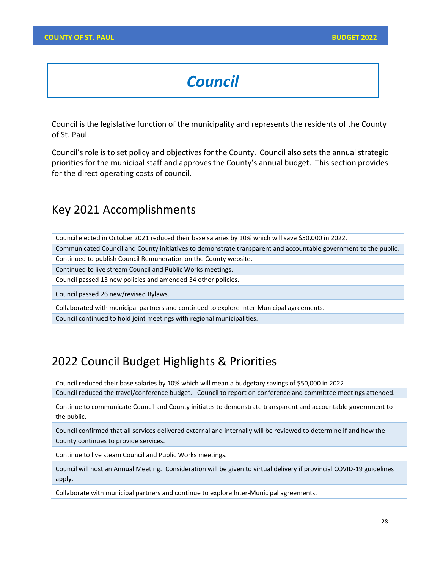# *Council*

Council is the legislative function of the municipality and represents the residents of the County of St. Paul.

Council's role is to set policy and objectives for the County. Council also sets the annual strategic priorities for the municipal staff and approves the County's annual budget. This section provides for the direct operating costs of council.

# Key 2021 Accomplishments

Council elected in October 2021 reduced their base salaries by 10% which will save \$50,000 in 2022.

Communicated Council and County initiatives to demonstrate transparent and accountable government to the public.

Continued to publish Council Remuneration on the County website.

Continued to live stream Council and Public Works meetings.

Council passed 13 new policies and amended 34 other policies.

Council passed 26 new/revised Bylaws.

Collaborated with municipal partners and continued to explore Inter-Municipal agreements. Council continued to hold joint meetings with regional municipalities.

# 2022 Council Budget Highlights & Priorities

Council reduced their base salaries by 10% which will mean a budgetary savings of \$50,000 in 2022 Council reduced the travel/conference budget. Council to report on conference and committee meetings attended.

Continue to communicate Council and County initiates to demonstrate transparent and accountable government to the public.

Council confirmed that all services delivered external and internally will be reviewed to determine if and how the County continues to provide services.

Continue to live steam Council and Public Works meetings.

Council will host an Annual Meeting. Consideration will be given to virtual delivery if provincial COVID-19 guidelines apply.

Collaborate with municipal partners and continue to explore Inter-Municipal agreements.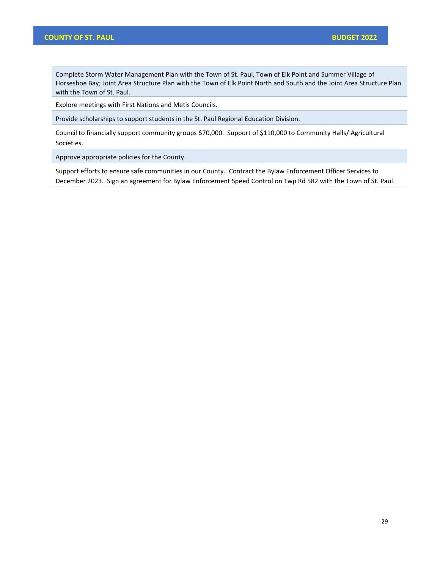## **COUNTY OF ST. PAUL BUDGET 2022**

Complete Storm Water Management Plan with the Town of St. Paul, Town of Elk Point and Summer Village of Horseshoe Bay; Joint Area Structure Plan with the Town of Elk Point North and South and the Joint Area Structure Plan with the Town of St. Paul.

Explore meetings with First Nations and Metis Councils.

Provide scholarships to support students in the St. Paul Regional Education Division.

Council to financially support community groups \$70,000. Support of \$110,000 to Community Halls/ Agricultural Societies.

Approve appropriate policies for the County.

Support efforts to ensure safe communities in our County. Contract the Bylaw Enforcement Officer Services to December 2023. Sign an agreement for Bylaw Enforcement Speed Control on Twp Rd 582 with the Town of St. Paul.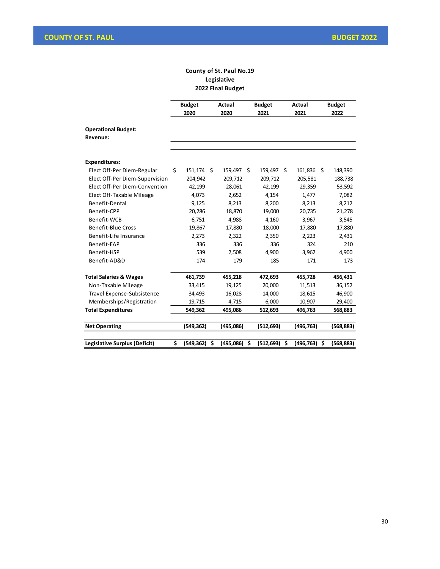## **County of St. Paul No.19 Legislative 2022 Final Budget**

|                                        |    | <b>Budget</b><br>2020 | <b>Actual</b><br>2020 | <b>Budget</b><br>2021 | <b>Actual</b><br>2021 | <b>Budget</b><br>2022 |
|----------------------------------------|----|-----------------------|-----------------------|-----------------------|-----------------------|-----------------------|
| <b>Operational Budget:</b><br>Revenue: |    |                       |                       |                       |                       |                       |
|                                        |    |                       |                       |                       |                       |                       |
| <b>Expenditures:</b>                   |    |                       |                       |                       |                       |                       |
| Elect Off-Per Diem-Regular             | Ś. | 151,174 \$            | 159,497 \$            | 159,497 \$            | 161,836 \$            | 148,390               |
| Elect Off-Per Diem-Supervision         |    | 204,942               | 209,712               | 209,712               | 205,581               | 188,738               |
| Elect Off-Per Diem-Convention          |    | 42,199                | 28,061                | 42,199                | 29,359                | 53,592                |
| Elect Off-Taxable Mileage              |    | 4,073                 | 2,652                 | 4,154                 | 1.477                 | 7,082                 |
| Benefit-Dental                         |    | 9,125                 | 8,213                 | 8,200                 | 8,213                 | 8,212                 |
| Benefit-CPP                            |    | 20,286                | 18,870                | 19,000                | 20,735                | 21,278                |
| Benefit-WCB                            |    | 6,751                 | 4,988                 | 4,160                 | 3,967                 | 3,545                 |
| <b>Benefit-Blue Cross</b>              |    | 19,867                | 17,880                | 18,000                | 17,880                | 17,880                |
| Benefit-Life Insurance                 |    | 2,273                 | 2.322                 | 2,350                 | 2,223                 | 2,431                 |
| Benefit-EAP                            |    | 336                   | 336                   | 336                   | 324                   | 210                   |
| Benefit-HSP                            |    | 539                   | 2,508                 | 4,900                 | 3,962                 | 4,900                 |
| Benefit-AD&D                           |    | 174                   | 179                   | 185                   | 171                   | 173                   |
| <b>Total Salaries &amp; Wages</b>      |    | 461,739               | 455,218               | 472,693               | 455,728               | 456,431               |
| Non-Taxable Mileage                    |    | 33,415                | 19,125                | 20,000                | 11,513                | 36,152                |
| Travel Expense-Subsistence             |    | 34,493                | 16,028                | 14,000                | 18,615                | 46,900                |
| Memberships/Registration               |    | 19,715                | 4,715                 | 6,000                 | 10,907                | 29,400                |
| <b>Total Expenditures</b>              |    | 549,362               | 495,086               | 512,693               | 496,763               | 568,883               |
| <b>Net Operating</b>                   |    | (549,362)             | (495,086)             | (512, 693)            | (496,763)             | (568,883)             |
| Legislative Surplus (Deficit)          | \$ | (549, 362)            | \$<br>(495,086)       | \$<br>(512, 693)      | \$<br>(496, 763)      | \$<br>(568, 883)      |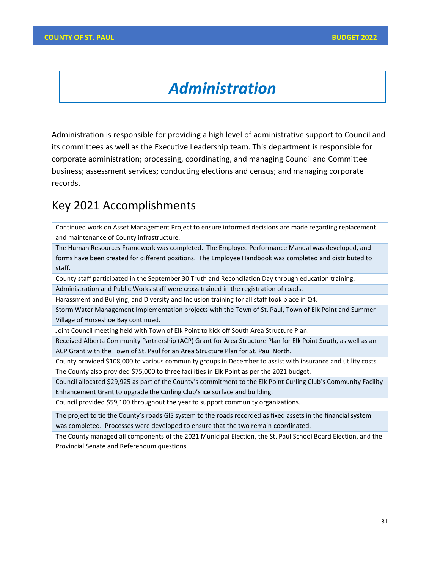# *Administration*

Administration is responsible for providing a high level of administrative support to Council and its committees as well as the Executive Leadership team. This department is responsible for corporate administration; processing, coordinating, and managing Council and Committee business; assessment services; conducting elections and census; and managing corporate records.

# Key 2021 Accomplishments

Continued work on Asset Management Project to ensure informed decisions are made regarding replacement and maintenance of County infrastructure.

The Human Resources Framework was completed. The Employee Performance Manual was developed, and forms have been created for different positions. The Employee Handbook was completed and distributed to staff.

County staff participated in the September 30 Truth and Reconcilation Day through education training.

Administration and Public Works staff were cross trained in the registration of roads.

Harassment and Bullying, and Diversity and Inclusion training for all staff took place in Q4.

Storm Water Management Implementation projects with the Town of St. Paul, Town of Elk Point and Summer Village of Horseshoe Bay continued.

Joint Council meeting held with Town of Elk Point to kick off South Area Structure Plan.

Received Alberta Community Partnership (ACP) Grant for Area Structure Plan for Elk Point South, as well as an ACP Grant with the Town of St. Paul for an Area Structure Plan for St. Paul North.

County provided \$108,000 to various community groups in December to assist with insurance and utility costs. The County also provided \$75,000 to three facilities in Elk Point as per the 2021 budget.

Council allocated \$29,925 as part of the County's commitment to the Elk Point Curling Club's Community Facility Enhancement Grant to upgrade the Curling Club's ice surface and building.

Council provided \$59,100 throughout the year to support community organizations.

The project to tie the County's roads GIS system to the roads recorded as fixed assets in the financial system was completed. Processes were developed to ensure that the two remain coordinated.

The County managed all components of the 2021 Municipal Election, the St. Paul School Board Election, and the Provincial Senate and Referendum questions.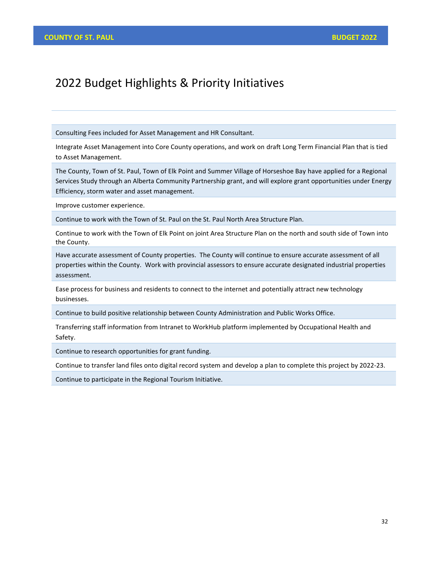# 2022 Budget Highlights & Priority Initiatives

Consulting Fees included for Asset Management and HR Consultant.

Integrate Asset Management into Core County operations, and work on draft Long Term Financial Plan that is tied to Asset Management.

The County, Town of St. Paul, Town of Elk Point and Summer Village of Horseshoe Bay have applied for a Regional Services Study through an Alberta Community Partnership grant, and will explore grant opportunities under Energy Efficiency, storm water and asset management.

Improve customer experience.

Continue to work with the Town of St. Paul on the St. Paul North Area Structure Plan.

Continue to work with the Town of Elk Point on joint Area Structure Plan on the north and south side of Town into the County.

Have accurate assessment of County properties. The County will continue to ensure accurate assessment of all properties within the County. Work with provincial assessors to ensure accurate designated industrial properties assessment.

Ease process for business and residents to connect to the internet and potentially attract new technology businesses.

Continue to build positive relationship between County Administration and Public Works Office.

Transferring staff information from Intranet to WorkHub platform implemented by Occupational Health and Safety.

Continue to research opportunities for grant funding.

Continue to transfer land files onto digital record system and develop a plan to complete this project by 2022-23.

Continue to participate in the Regional Tourism Initiative.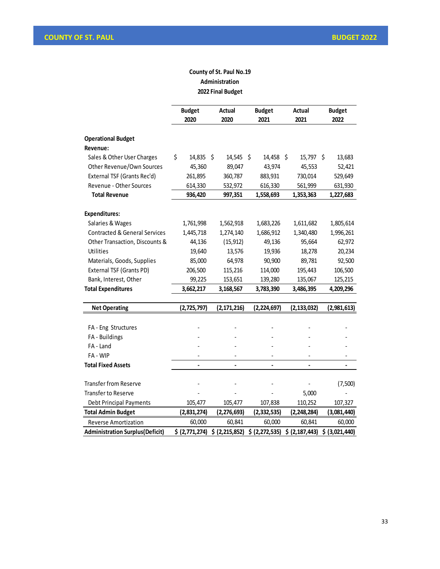# **County of St. Paul No.19 Administration 2022 Final Budget**

|                                          | <b>Budget</b><br>2020 | <b>Actual</b><br>2020 | <b>Budget</b><br>2021 | <b>Actual</b><br>2021 | <b>Budget</b><br>2022 |
|------------------------------------------|-----------------------|-----------------------|-----------------------|-----------------------|-----------------------|
| <b>Operational Budget</b>                |                       |                       |                       |                       |                       |
| Revenue:                                 |                       |                       |                       |                       |                       |
| Sales & Other User Charges               | \$<br>14,835 \$       | 14,545 \$             | 14,458 \$             | 15,797 \$             | 13,683                |
| Other Revenue/Own Sources                | 45,360                | 89,047                | 43,974                | 45,553                | 52,421                |
| External TSF (Grants Rec'd)              | 261,895               | 360,787               | 883,931               | 730,014               | 529,649               |
| Revenue - Other Sources                  | 614,330               | 532,972               | 616,330               | 561,999               | 631,930               |
| <b>Total Revenue</b>                     | 936,420               | 997,351               | 1,558,693             | 1,353,363             | 1,227,683             |
| <b>Expenditures:</b>                     |                       |                       |                       |                       |                       |
| Salaries & Wages                         | 1,761,998             | 1,562,918             | 1,683,226             | 1,611,682             | 1,805,614             |
| <b>Contracted &amp; General Services</b> | 1,445,718             | 1,274,140             | 1,686,912             | 1,340,480             | 1,996,261             |
| Other Transaction, Discounts &           | 44,136                | (15, 912)             | 49,136                | 95,664                | 62,972                |
| Utilities                                | 19,640                | 13,576                | 19,936                | 18,278                | 20,234                |
| Materials, Goods, Supplies               | 85,000                | 64,978                | 90,900                | 89,781                | 92,500                |
| External TSF (Grants PD)                 | 206,500               | 115,216               | 114,000               | 195,443               | 106,500               |
| Bank, Interest, Other                    | 99,225                | 153,651               | 139,280               | 135,067               | 125,215               |
| <b>Total Expenditures</b>                | 3,662,217             | 3,168,567             | 3,783,390             | 3,486,395             | 4,209,296             |
|                                          |                       |                       |                       |                       |                       |
| <b>Net Operating</b>                     | (2,725,797)           | (2, 171, 216)         | (2, 224, 697)         | (2, 133, 032)         | (2,981,613)           |
| FA - Eng Structures                      |                       |                       |                       |                       |                       |
| FA - Buildings                           |                       |                       |                       |                       |                       |
| FA - Land                                |                       |                       |                       |                       |                       |
| FA - WIP                                 |                       |                       |                       |                       |                       |
| <b>Total Fixed Assets</b>                |                       |                       |                       |                       |                       |
|                                          |                       |                       |                       |                       |                       |
| <b>Transfer from Reserve</b>             |                       |                       |                       |                       | (7,500)               |
| <b>Transfer to Reserve</b>               |                       |                       |                       | 5,000                 |                       |
| <b>Debt Principal Payments</b>           | 105,477               | 105,477               | 107,838               | 110,252               | 107,327               |
| <b>Total Admin Budget</b>                | (2,831,274)           | (2, 276, 693)         | (2, 332, 535)         | (2, 248, 284)         | (3,081,440)           |
| <b>Reverse Amortization</b>              | 60,000                | 60,841                | 60,000                | 60,841                | 60,000                |
| <b>Administration Surplus (Deficit)</b>  | \$ (2,771,274)        | \$ (2, 215, 852)      | \$ (2, 272, 535)      | \$ (2,187,443)        | \$ (3,021,440)        |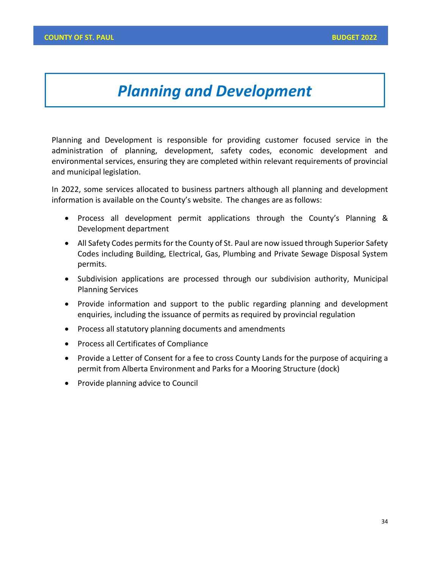# *Planning and Development*

Planning and Development is responsible for providing customer focused service in the administration of planning, development, safety codes, economic development and environmental services, ensuring they are completed within relevant requirements of provincial and municipal legislation.

In 2022, some services allocated to business partners although all planning and development information is available on the County's website. The changes are as follows:

- Process all development permit applications through the County's Planning & Development department
- All Safety Codes permits for the County of St. Paul are now issued through Superior Safety Codes including Building, Electrical, Gas, Plumbing and Private Sewage Disposal System permits.
- Subdivision applications are processed through our subdivision authority, Municipal Planning Services
- Provide information and support to the public regarding planning and development enquiries, including the issuance of permits as required by provincial regulation
- Process all statutory planning documents and amendments
- Process all Certificates of Compliance
- Provide a Letter of Consent for a fee to cross County Lands for the purpose of acquiring a permit from Alberta Environment and Parks for a Mooring Structure (dock)
- Provide planning advice to Council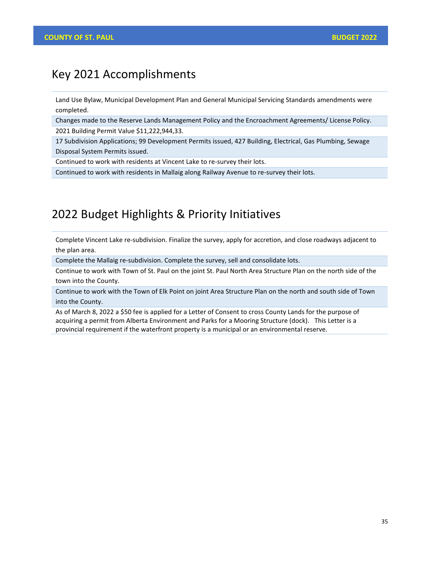#### Key 2021 Accomplishments

Land Use Bylaw, Municipal Development Plan and General Municipal Servicing Standards amendments were completed.

Changes made to the Reserve Lands Management Policy and the Encroachment Agreements/ License Policy. 2021 Building Permit Value \$11,222,944,33.

17 Subdivision Applications; 99 Development Permits issued, 427 Building, Electrical, Gas Plumbing, Sewage Disposal System Permits issued.

Continued to work with residents at Vincent Lake to re-survey their lots.

Continued to work with residents in Mallaig along Railway Avenue to re-survey their lots.

## 2022 Budget Highlights & Priority Initiatives

Complete Vincent Lake re-subdivision. Finalize the survey, apply for accretion, and close roadways adjacent to the plan area.

Complete the Mallaig re-subdivision. Complete the survey, sell and consolidate lots.

Continue to work with Town of St. Paul on the joint St. Paul North Area Structure Plan on the north side of the town into the County.

Continue to work with the Town of Elk Point on joint Area Structure Plan on the north and south side of Town into the County.

As of March 8, 2022 a \$50 fee is applied for a Letter of Consent to cross County Lands for the purpose of acquiring a permit from Alberta Environment and Parks for a Mooring Structure (dock). This Letter is a provincial requirement if the waterfront property is a municipal or an environmental reserve.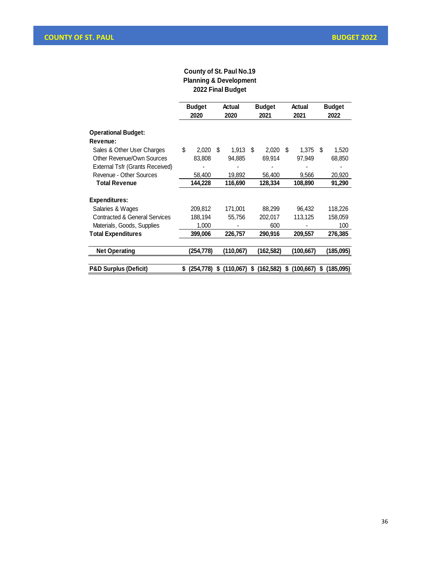#### **County of St. Paul No.19 Planning & Development 2022 Final Budget**

|                                          | <b>Budget</b><br>2020 |           | Actual<br>2020 |           | <b>Budget</b><br>2021 |            |    | Actual<br>2021 | <b>Budget</b><br>2022 |           |  |
|------------------------------------------|-----------------------|-----------|----------------|-----------|-----------------------|------------|----|----------------|-----------------------|-----------|--|
| <b>Operational Budget:</b>               |                       |           |                |           |                       |            |    |                |                       |           |  |
| Revenue:                                 |                       |           |                |           |                       |            |    |                |                       |           |  |
| Sales & Other User Charges               | \$                    | 2.020     | S              | 1.913     | S                     | 2.020      | -S | 1.375          | -S                    | 1,520     |  |
| Other Revenue/Own Sources                |                       | 83,808    |                | 94,885    |                       | 69,914     |    | 97,949         |                       | 68,850    |  |
| External Tsfr (Grants Received)          |                       |           |                |           |                       |            |    |                |                       |           |  |
| Revenue - Other Sources                  |                       | 58,400    |                | 19,892    |                       | 56,400     |    | 9,566          |                       | 20,920    |  |
| <b>Total Revenue</b>                     |                       | 144,228   |                | 116,690   |                       | 128,334    |    | 108,890        |                       | 91,290    |  |
| <b>Expenditures:</b>                     |                       |           |                |           |                       |            |    |                |                       |           |  |
| Salaries & Wages                         |                       | 209,812   |                | 171,001   |                       | 88,299     |    | 96,432         |                       | 118,226   |  |
| <b>Contracted &amp; General Services</b> |                       | 188,194   |                | 55,756    |                       | 202,017    |    | 113,125        |                       | 158,059   |  |
| Materials, Goods, Supplies               |                       | 1,000     |                |           |                       | 600        |    |                |                       | 100       |  |
| <b>Total Expenditures</b>                |                       | 399,006   |                | 226,757   |                       | 290,916    |    | 209,557        |                       | 276,385   |  |
|                                          |                       |           |                |           |                       |            |    |                |                       |           |  |
| <b>Net Operating</b>                     |                       | (254,778) |                | (110,067) |                       | (162,582)  |    | (100,667)      |                       | (185,095) |  |
|                                          |                       |           |                |           |                       |            |    |                |                       |           |  |
| <b>P&amp;D Surplus (Deficit)</b>         | S.                    | (254.778) | S              | (110,067) | S                     | (162, 582) | S  | (100.667)      | S                     | (185,095) |  |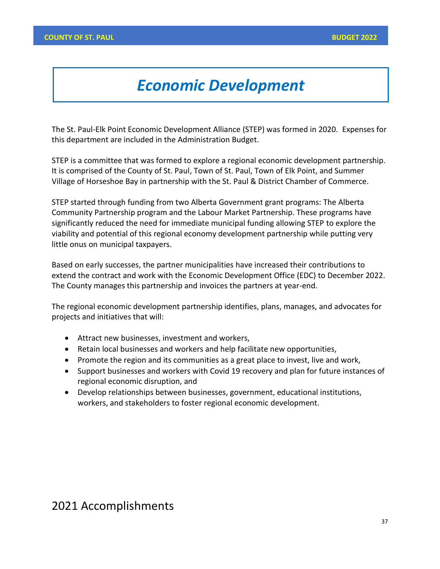# *Economic Development*

The St. Paul-Elk Point Economic Development Alliance (STEP) was formed in 2020. Expenses for this department are included in the Administration Budget.

STEP is a committee that was formed to explore a regional economic development partnership. It is comprised of the County of St. Paul, Town of St. Paul, Town of Elk Point, and Summer Village of Horseshoe Bay in partnership with the St. Paul & District Chamber of Commerce.

STEP started through funding from two Alberta Government grant programs: The Alberta Community Partnership program and the Labour Market Partnership. These programs have significantly reduced the need for immediate municipal funding allowing STEP to explore the viability and potential of this regional economy development partnership while putting very little onus on municipal taxpayers.

Based on early successes, the partner municipalities have increased their contributions to extend the contract and work with the Economic Development Office (EDC) to December 2022. The County manages this partnership and invoices the partners at year-end.

The regional economic development partnership identifies, plans, manages, and advocates for projects and initiatives that will:

- Attract new businesses, investment and workers,
- Retain local businesses and workers and help facilitate new opportunities,
- Promote the region and its communities as a great place to invest, live and work,
- Support businesses and workers with Covid 19 recovery and plan for future instances of regional economic disruption, and
- Develop relationships between businesses, government, educational institutions, workers, and stakeholders to foster regional economic development.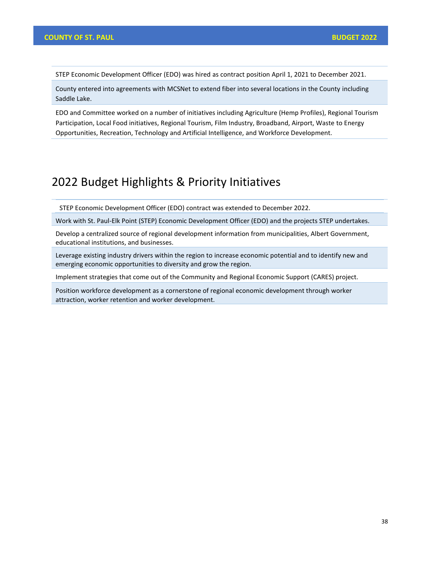STEP Economic Development Officer (EDO) was hired as contract position April 1, 2021 to December 2021.

County entered into agreements with MCSNet to extend fiber into several locations in the County including Saddle Lake.

EDO and Committee worked on a number of initiatives including Agriculture (Hemp Profiles), Regional Tourism Participation, Local Food initiatives, Regional Tourism, Film Industry, Broadband, Airport, Waste to Energy Opportunities, Recreation, Technology and Artificial Intelligence, and Workforce Development.

## 2022 Budget Highlights & Priority Initiatives

STEP Economic Development Officer (EDO) contract was extended to December 2022.

Work with St. Paul-Elk Point (STEP) Economic Development Officer (EDO) and the projects STEP undertakes.

Develop a centralized source of regional development information from municipalities, Albert Government, educational institutions, and businesses.

Leverage existing industry drivers within the region to increase economic potential and to identify new and emerging economic opportunities to diversity and grow the region.

Implement strategies that come out of the Community and Regional Economic Support (CARES) project.

Position workforce development as a cornerstone of regional economic development through worker attraction, worker retention and worker development.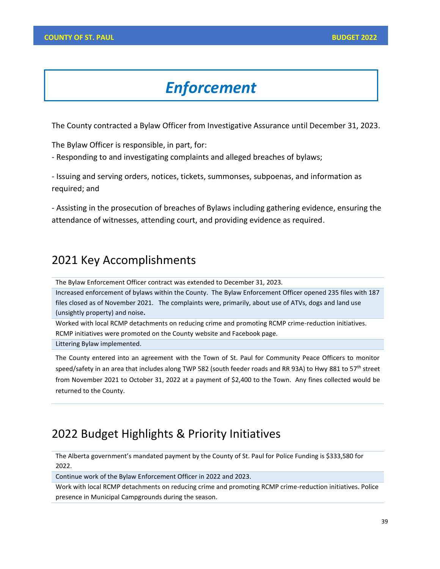# *Enforcement*

The County contracted a Bylaw Officer from Investigative Assurance until December 31, 2023.

The Bylaw Officer is responsible, in part, for:

- Responding to and investigating complaints and alleged breaches of bylaws;

- Issuing and serving orders, notices, tickets, summonses, subpoenas, and information as required; and

- Assisting in the prosecution of breaches of Bylaws including gathering evidence, ensuring the attendance of witnesses, attending court, and providing evidence as required.

#### 2021 Key Accomplishments

The Bylaw Enforcement Officer contract was extended to December 31, 2023.

Increased enforcement of bylaws within the County. The Bylaw Enforcement Officer opened 235 files with 187 files closed as of November 2021. The complaints were, primarily, about use of ATVs, dogs and land use (unsightly property) and noise**.** 

Worked with local RCMP detachments on reducing crime and promoting RCMP crime-reduction initiatives. RCMP initiatives were promoted on the County website and Facebook page.

Littering Bylaw implemented.

The County entered into an agreement with the Town of St. Paul for Community Peace Officers to monitor speed/safety in an area that includes along TWP 582 (south feeder roads and RR 93A) to Hwy 881 to 57<sup>th</sup> street from November 2021 to October 31, 2022 at a payment of \$2,400 to the Town. Any fines collected would be returned to the County.

#### 2022 Budget Highlights & Priority Initiatives

The Alberta government's mandated payment by the County of St. Paul for Police Funding is \$333,580 for 2022.

Continue work of the Bylaw Enforcement Officer in 2022 and 2023.

Work with local RCMP detachments on reducing crime and promoting RCMP crime-reduction initiatives. Police presence in Municipal Campgrounds during the season.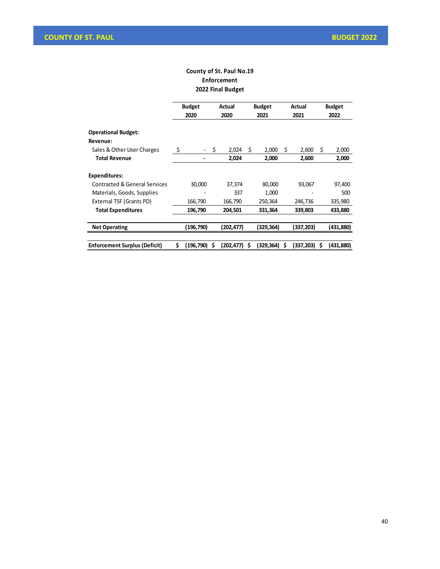#### **County of St. Paul No.19 Enforcement 2022 Final Budget**

|                                                                      |    | <b>Budget</b><br>Actual<br>2020<br>2020 |    |            | <b>Budget</b><br>2021 |           | Actual<br>2021 | <b>Budget</b><br>2022 |    |           |
|----------------------------------------------------------------------|----|-----------------------------------------|----|------------|-----------------------|-----------|----------------|-----------------------|----|-----------|
| <b>Operational Budget:</b><br>Revenue:<br>Sales & Other User Charges | \$ |                                         | \$ | 2,024      | \$                    | 2,000     | \$             | 2,600                 | \$ | 2,000     |
| <b>Total Revenue</b>                                                 |    |                                         |    | 2,024      |                       | 2,000     |                | 2,600                 |    | 2,000     |
| <b>Expenditures:</b>                                                 |    |                                         |    |            |                       |           |                |                       |    |           |
| Contracted & General Services                                        |    | 30,000                                  |    | 37,374     |                       | 80,000    |                | 93,067                |    | 97,400    |
| Materials, Goods, Supplies                                           |    |                                         |    | 337        |                       | 1,000     |                |                       |    | 500       |
| External TSF (Grants PD)                                             |    | 166,790                                 |    | 166,790    |                       | 250,364   |                | 246,736               |    | 335,980   |
| <b>Total Expenditures</b>                                            |    | 196,790                                 |    | 204,501    |                       | 331,364   |                | 339,803               |    | 433,880   |
|                                                                      |    |                                         |    |            |                       |           |                |                       |    |           |
| <b>Net Operating</b>                                                 |    | (196,790)                               |    | (202,477)  |                       | (329,364) |                | 337,203)              |    | (431,880) |
|                                                                      |    |                                         |    |            |                       |           |                |                       |    |           |
| <b>Enforcement Surplus (Deficit)</b>                                 | Ś  | (196, 790)                              | S  | (202, 477) | S                     | (329,364) | Ŝ              | (337.203)             | S  | (431.880) |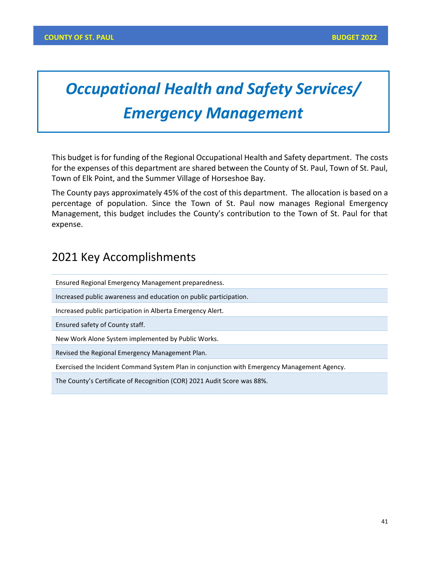# *Occupational Health and Safety Services/ Emergency Management*

This budget is for funding of the Regional Occupational Health and Safety department. The costs for the expenses of this department are shared between the County of St. Paul, Town of St. Paul, Town of Elk Point, and the Summer Village of Horseshoe Bay.

The County pays approximately 45% of the cost of this department. The allocation is based on a percentage of population. Since the Town of St. Paul now manages Regional Emergency Management, this budget includes the County's contribution to the Town of St. Paul for that expense.

## 2021 Key Accomplishments

Ensured Regional Emergency Management preparedness.

Increased public awareness and education on public participation.

Increased public participation in Alberta Emergency Alert.

Ensured safety of County staff.

New Work Alone System implemented by Public Works.

Revised the Regional Emergency Management Plan.

Exercised the Incident Command System Plan in conjunction with Emergency Management Agency.

The County's Certificate of Recognition (COR) 2021 Audit Score was 88%.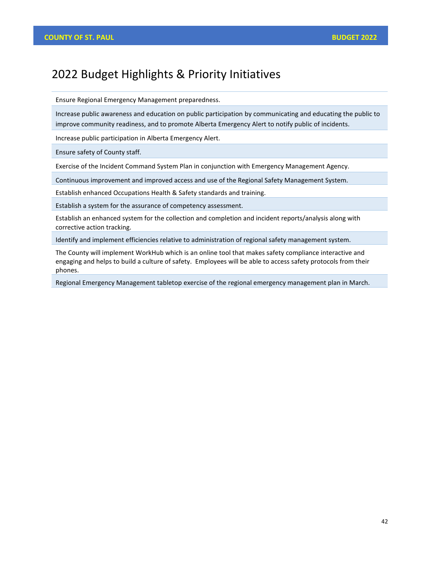## 2022 Budget Highlights & Priority Initiatives

Ensure Regional Emergency Management preparedness.

Increase public awareness and education on public participation by communicating and educating the public to improve community readiness, and to promote Alberta Emergency Alert to notify public of incidents.

Increase public participation in Alberta Emergency Alert.

Ensure safety of County staff.

Exercise of the Incident Command System Plan in conjunction with Emergency Management Agency.

Continuous improvement and improved access and use of the Regional Safety Management System.

Establish enhanced Occupations Health & Safety standards and training.

Establish a system for the assurance of competency assessment.

Establish an enhanced system for the collection and completion and incident reports/analysis along with corrective action tracking.

Identify and implement efficiencies relative to administration of regional safety management system.

The County will implement WorkHub which is an online tool that makes safety compliance interactive and engaging and helps to build a culture of safety.  Employees will be able to access safety protocols from their phones.

Regional Emergency Management tabletop exercise of the regional emergency management plan in March.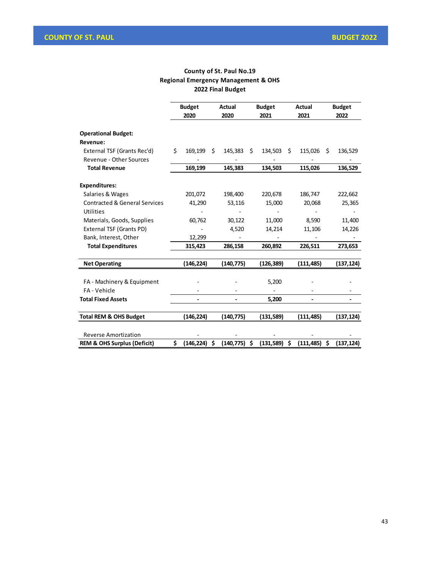#### **County of St. Paul No.19 Regional Emergency Management & OHS 2022 Final Budget**

|                                          | <b>Budget</b><br>2020 |            | Actual<br>2020 |            |    | <b>Budget</b><br>2021 | Actual<br>2021 |            |     | <b>Budget</b><br>2022 |  |  |
|------------------------------------------|-----------------------|------------|----------------|------------|----|-----------------------|----------------|------------|-----|-----------------------|--|--|
| <b>Operational Budget:</b><br>Revenue:   |                       |            |                |            |    |                       |                |            |     |                       |  |  |
| External TSF (Grants Rec'd)              | \$                    | 169,199    | Ś.             | 145,383    | Ŝ. | 134,503               | Ŝ.             | 115,026    | Ŝ.  |                       |  |  |
| Revenue - Other Sources                  |                       |            |                |            |    |                       |                |            |     | 136,529               |  |  |
| <b>Total Revenue</b>                     |                       | 169,199    |                | 145,383    |    | 134,503               |                | 115,026    |     | 136,529               |  |  |
| <b>Expenditures:</b>                     |                       |            |                |            |    |                       |                |            |     |                       |  |  |
| Salaries & Wages                         |                       | 201,072    |                | 198,400    |    | 220,678               |                | 186,747    |     | 222,662               |  |  |
| <b>Contracted &amp; General Services</b> |                       | 41,290     |                | 53,116     |    | 15,000                |                | 20,068     |     | 25,365                |  |  |
| <b>Utilities</b>                         |                       |            |                |            |    |                       |                |            |     |                       |  |  |
| Materials, Goods, Supplies               |                       | 60,762     |                | 30,122     |    | 11,000                |                | 8,590      |     | 11,400                |  |  |
| External TSF (Grants PD)                 |                       |            |                | 4,520      |    | 14,214                |                | 11,106     |     | 14,226                |  |  |
| Bank, Interest, Other                    |                       | 12,299     |                |            |    |                       |                |            |     |                       |  |  |
| <b>Total Expenditures</b>                |                       | 315,423    |                | 286,158    |    | 260,892               |                | 226,511    |     | 273,653               |  |  |
| <b>Net Operating</b>                     |                       | (146,224)  |                | (140, 775) |    | (126,389)             |                | (111,485)  |     | (137,124)             |  |  |
|                                          |                       |            |                |            |    |                       |                |            |     |                       |  |  |
| FA - Machinery & Equipment               |                       |            |                |            |    | 5,200                 |                |            |     |                       |  |  |
| FA - Vehicle                             |                       |            |                |            |    |                       |                |            |     |                       |  |  |
| <b>Total Fixed Assets</b>                |                       |            |                |            |    | 5,200                 |                |            |     |                       |  |  |
| <b>Total REM &amp; OHS Budget</b>        |                       | (146, 224) |                | (140, 775) |    | (131, 589)            |                | (111, 485) |     | (137, 124)            |  |  |
| <b>Reverse Amortization</b>              |                       |            |                |            |    |                       |                |            |     |                       |  |  |
| <b>REM &amp; OHS Surplus (Deficit)</b>   | Ś.                    | (146, 224) | Ŝ.             | (140, 775) | Ŝ. | (131,589)             | \$.            | (111, 485) | \$. | (137, 124)            |  |  |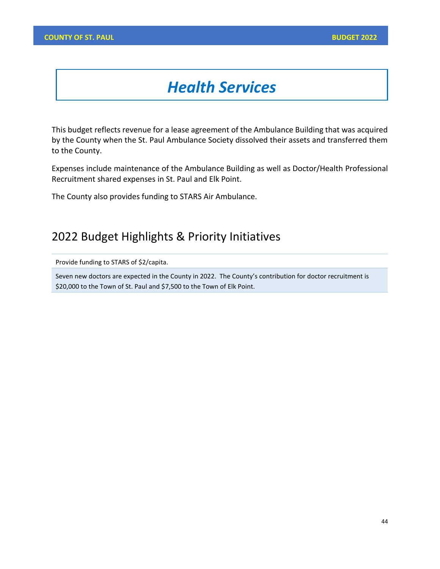# *Health Services*

This budget reflects revenue for a lease agreement of the Ambulance Building that was acquired by the County when the St. Paul Ambulance Society dissolved their assets and transferred them to the County.

Expenses include maintenance of the Ambulance Building as well as Doctor/Health Professional Recruitment shared expenses in St. Paul and Elk Point.

The County also provides funding to STARS Air Ambulance.

### 2022 Budget Highlights & Priority Initiatives

Provide funding to STARS of \$2/capita.

Seven new doctors are expected in the County in 2022. The County's contribution for doctor recruitment is \$20,000 to the Town of St. Paul and \$7,500 to the Town of Elk Point.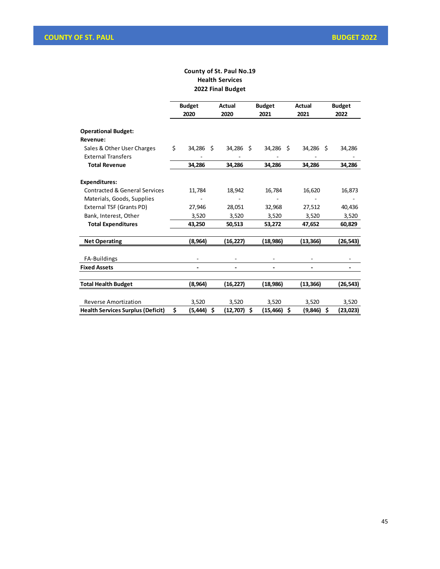#### **County of St. Paul No.19 Health Services 2022 Final Budget**

|                                                         | <b>Budget</b> |           |   | <b>Actual</b> | <b>Budget</b> | Actual    | <b>Budget</b> |     |           |
|---------------------------------------------------------|---------------|-----------|---|---------------|---------------|-----------|---------------|-----|-----------|
|                                                         |               | 2020      |   | 2020          |               | 2021      | 2021          |     | 2022      |
| <b>Operational Budget:</b>                              |               |           |   |               |               |           |               |     |           |
| Revenue:                                                |               |           |   |               |               |           |               |     |           |
| Sales & Other User Charges<br><b>External Transfers</b> | Ś.            | 34,286 \$ |   | 34,286 \$     |               | 34,286 \$ | 34,286        | - Ś | 34,286    |
| <b>Total Revenue</b>                                    |               | 34,286    |   | 34,286        |               | 34,286    | 34,286        |     | 34,286    |
| <b>Expenditures:</b>                                    |               |           |   |               |               |           |               |     |           |
| <b>Contracted &amp; General Services</b>                |               | 11,784    |   | 18,942        |               | 16,784    | 16,620        |     | 16,873    |
| Materials, Goods, Supplies                              |               |           |   |               |               |           |               |     |           |
| External TSF (Grants PD)                                |               | 27,946    |   | 28,051        |               | 32,968    | 27,512        |     | 40,436    |
| Bank, Interest, Other                                   |               | 3,520     |   | 3,520         |               | 3,520     | 3,520         |     | 3,520     |
| <b>Total Expenditures</b>                               |               | 43,250    |   | 50,513        |               | 53,272    | 47,652        |     | 60,829    |
| <b>Net Operating</b>                                    |               | (8,964)   |   | (16,227)      |               | (18, 986) | (13, 366)     |     | (26,543)  |
| FA-Buildings                                            |               |           |   |               |               |           |               |     |           |
| <b>Fixed Assets</b>                                     |               |           |   |               |               |           |               |     |           |
| <b>Total Health Budget</b>                              |               | (8,964)   |   | (16, 227)     |               | (18, 986) | (13, 366)     |     | (26,543)  |
| <b>Reverse Amortization</b>                             |               | 3,520     |   | 3,520         |               | 3,520     | 3,520         |     | 3,520     |
| <b>Health Services Surplus (Deficit)</b>                | \$            | (5, 444)  | Ś | (12,707)      | \$            | (15,466)  | \$<br>(9,846) | \$  | (23, 023) |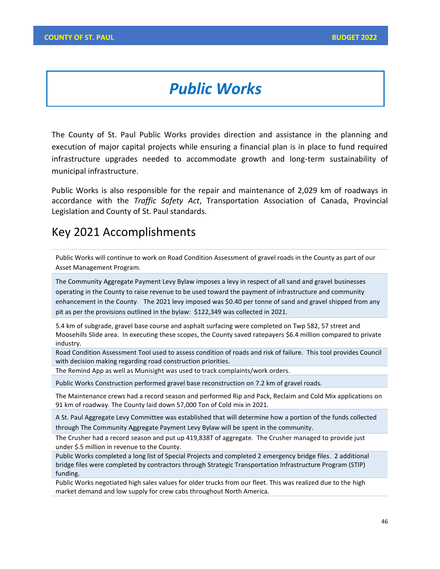# *Public Works*

The County of St. Paul Public Works provides direction and assistance in the planning and execution of major capital projects while ensuring a financial plan is in place to fund required infrastructure upgrades needed to accommodate growth and long-term sustainability of municipal infrastructure.

Public Works is also responsible for the repair and maintenance of 2,029 km of roadways in accordance with the *Traffic Safety Act*, Transportation Association of Canada, Provincial Legislation and County of St. Paul standards.

#### Key 2021 Accomplishments

Public Works will continue to work on Road Condition Assessment of gravel roads in the County as part of our Asset Management Program.

The Community Aggregate Payment Levy Bylaw imposes a levy in respect of all sand and gravel businesses operating in the County to raise revenue to be used toward the payment of infrastructure and community enhancement in the County. The 2021 levy imposed was \$0.40 per tonne of sand and gravel shipped from any pit as per the provisions outlined in the bylaw: \$122,349 was collected in 2021.

5.4 km of subgrade, gravel base course and asphalt surfacing were completed on Twp 582, 57 street and Moosehills Slide area. In executing these scopes, the County saved ratepayers \$6.4 million compared to private industry.

Road Condition Assessment Tool used to assess condition of roads and risk of failure. This tool provides Council with decision making regarding road construction priorities.

The Remind App as well as Munisight was used to track complaints/work orders.

Public Works Construction performed gravel base reconstruction on 7.2 km of gravel roads.

The Maintenance crews had a record season and performed Rip and Pack, Reclaim and Cold Mix applications on 91 km of roadway. The County laid down 57,000 Ton of Cold mix in 2021.

A St. Paul Aggregate Levy Committee was established that will determine how a portion of the funds collected through The Community Aggregate Payment Levy Bylaw will be spent in the community.

The Crusher had a record season and put up 419,838T of aggregate. The Crusher managed to provide just under \$.5 million in revenue to the County.

Public Works completed a long list of Special Projects and completed 2 emergency bridge files. 2 additional bridge files were completed by contractors through Strategic Transportation Infrastructure Program (STIP) funding.

Public Works negotiated high sales values for older trucks from our fleet. This was realized due to the high market demand and low supply for crew cabs throughout North America.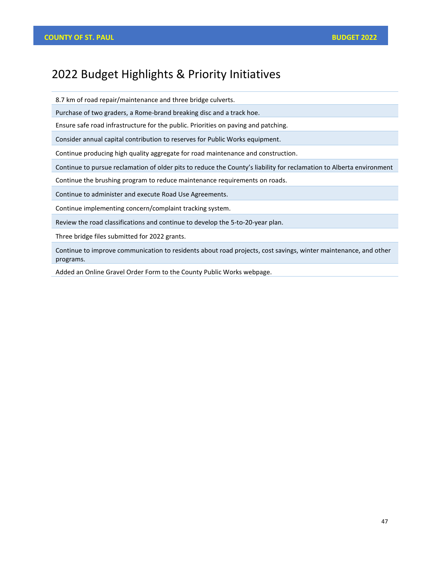## 2022 Budget Highlights & Priority Initiatives

8.7 km of road repair/maintenance and three bridge culverts.

Purchase of two graders, a Rome-brand breaking disc and a track hoe.

Ensure safe road infrastructure for the public. Priorities on paving and patching.

Consider annual capital contribution to reserves for Public Works equipment.

Continue producing high quality aggregate for road maintenance and construction.

Continue to pursue reclamation of older pits to reduce the County's liability for reclamation to Alberta environment

Continue the brushing program to reduce maintenance requirements on roads.

Continue to administer and execute Road Use Agreements.

Continue implementing concern/complaint tracking system.

Review the road classifications and continue to develop the 5-to-20-year plan.

Three bridge files submitted for 2022 grants.

Continue to improve communication to residents about road projects, cost savings, winter maintenance, and other programs.

Added an Online Gravel Order Form to the County Public Works webpage.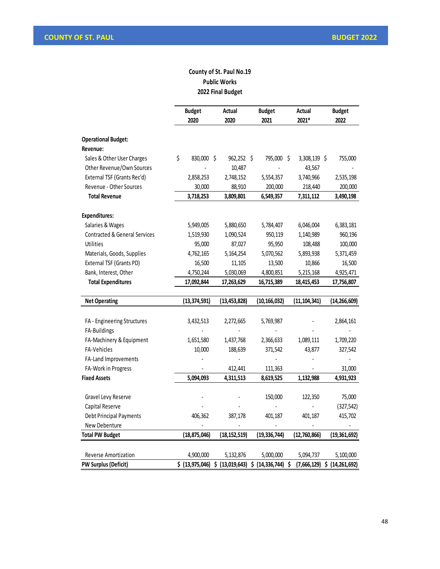#### **County of St. Paul No.19 Public Works 2022 Final Budget**

|                                          | <b>Budget</b>    | Actual         | <b>Budget</b>                   | Actual                   | <b>Budget</b>            |
|------------------------------------------|------------------|----------------|---------------------------------|--------------------------|--------------------------|
|                                          | 2020             | 2020           | 2021                            | 2021*                    | 2022                     |
|                                          |                  |                |                                 |                          |                          |
| <b>Operational Budget:</b>               |                  |                |                                 |                          |                          |
| Revenue:                                 |                  |                |                                 |                          |                          |
| Sales & Other User Charges               | \$<br>830,000 \$ | $962,252$ \$   | 795,000 \$                      | 3,308,139 \$             | 755,000                  |
| Other Revenue/Own Sources                |                  | 10,487         |                                 | 43,567                   |                          |
| External TSF (Grants Rec'd)              | 2,858,253        | 2,748,152      | 5,554,357                       | 3,740,966                | 2,535,198                |
| Revenue - Other Sources                  | 30,000           | 88,910         | 200,000                         | 218,440                  | 200,000                  |
| <b>Total Revenue</b>                     | 3,718,253        | 3,809,801      | 6,549,357                       | 7,311,112                | 3,490,198                |
| <b>Expenditures:</b>                     |                  |                |                                 |                          |                          |
| Salaries & Wages                         | 5,949,005        | 5,880,650      | 5,784,407                       | 6,046,004                | 6,383,181                |
| <b>Contracted &amp; General Services</b> | 1,519,930        | 1,090,524      | 950,119                         | 1,140,989                | 960,196                  |
| <b>Utilities</b>                         | 95,000           | 87,027         | 95,950                          | 108,488                  | 100,000                  |
| Materials, Goods, Supplies               | 4,762,165        | 5,164,254      | 5,070,562                       | 5,893,938                | 5,371,459                |
| External TSF (Grants PD)                 | 16,500           | 11,105         | 13,500                          | 10,866                   | 16,500                   |
| Bank, Interest, Other                    | 4,750,244        | 5,030,069      | 4,800,851                       | 5,215,168                | 4,925,471                |
| <b>Total Expenditures</b>                | 17,092,844       | 17,263,629     | 16,715,389                      | 18,415,453               | 17,756,807               |
|                                          |                  |                |                                 |                          |                          |
| <b>Net Operating</b>                     | (13, 374, 591)   | (13, 453, 828) | (10, 166, 032)                  | (11, 104, 341)           | (14, 266, 609)           |
|                                          |                  |                |                                 |                          |                          |
| FA - Engineering Structures              | 3,432,513        | 2,272,665      | 5,769,987                       |                          | 2,864,161                |
| FA-Buildings                             |                  |                |                                 |                          |                          |
| FA-Machinery & Equipment                 | 1,651,580        | 1,437,768      | 2,366,633                       | 1,089,111                | 1,709,220                |
| FA-Vehicles                              | 10,000           | 188,639        | 371,542                         | 43,877                   | 327,542                  |
| FA-Land Improvements                     |                  |                |                                 |                          |                          |
| FA-Work in Progress                      |                  | 412,441        | 111,363                         |                          | 31,000                   |
| <b>Fixed Assets</b>                      | 5,094,093        | 4,311,513      | 8,619,525                       | 1,132,988                | 4,931,923                |
| Gravel Levy Reserve                      |                  |                | 150,000                         | 122,350                  | 75,000                   |
| Capital Reserve                          |                  |                | $\overline{a}$                  |                          | (327, 542)               |
| Debt Principal Payments                  | 406,362          | 387,178        | 401,187                         | 401,187                  | 415,702                  |
| New Debenture                            |                  | $\frac{1}{2}$  | $\overline{\phantom{a}}$        | $\overline{\phantom{a}}$ | $\overline{\phantom{a}}$ |
| <b>Total PW Budget</b>                   | (18, 875, 046)   | (18, 152, 519) | (19, 336, 744)                  | (12,760,866)             | (19, 361, 692)           |
|                                          |                  |                |                                 |                          |                          |
| <b>Reverse Amortization</b>              | 4,900,000        | 5,132,876      | 5,000,000                       | 5,094,737                | 5,100,000                |
| PW Surplus (Deficit)                     | \$ (13,975,046)  |                | \$ (13,019,643) \$ (14,336,744) | \$<br>(7,666,129)        | \$ (14, 261, 692)        |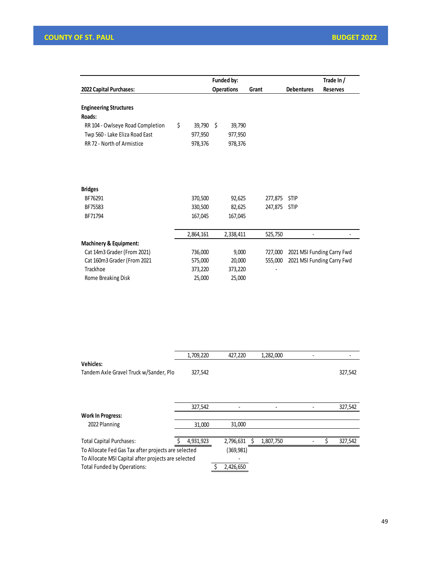|                                   |              |    | Funded by:        |         | Trade In /        |                            |
|-----------------------------------|--------------|----|-------------------|---------|-------------------|----------------------------|
| 2022 Capital Purchases:           |              |    | <b>Operations</b> | Grant   | <b>Debentures</b> | <b>Reserves</b>            |
| <b>Engineering Structures</b>     |              |    |                   |         |                   |                            |
| Roads:                            |              |    |                   |         |                   |                            |
| RR 104 - Owlseye Road Completion  | \$<br>39,790 | Ŝ. | 39,790            |         |                   |                            |
| Twp 560 - Lake Eliza Road East    | 977,950      |    | 977,950           |         |                   |                            |
| RR 72 - North of Armistice        | 978,376      |    | 978,376           |         |                   |                            |
|                                   |              |    |                   |         |                   |                            |
| <b>Bridges</b>                    |              |    |                   |         |                   |                            |
| BF76291                           | 370,500      |    | 92,625            | 277,875 | <b>STIP</b>       |                            |
| BF75583                           | 330,500      |    | 82,625            | 247,875 | <b>STIP</b>       |                            |
| BF71794                           | 167,045      |    | 167,045           |         |                   |                            |
|                                   | 2,864,161    |    | 2,338,411         | 525,750 |                   |                            |
| <b>Machinery &amp; Equipment:</b> |              |    |                   |         |                   |                            |
| Cat 14m3 Grader (From 2021)       | 736,000      |    | 9,000             | 727,000 |                   | 2021 MSI Funding Carry Fwd |
| Cat 160m3 Grader (From 2021       | 575,000      |    | 20,000            | 555,000 |                   | 2021 MSI Funding Carry Fwd |
| Trackhoe                          | 373,220      |    | 373,220           |         |                   |                            |
| Rome Breaking Disk                | 25,000       |    | 25,000            |         |                   |                            |

|                                                     | 1,709,220 | 427,220    | 1,282,000 |  |         |
|-----------------------------------------------------|-----------|------------|-----------|--|---------|
| <b>Vehicles:</b>                                    |           |            |           |  |         |
| Tandem Axle Gravel Truck w/Sander, Plo              | 327,542   |            |           |  | 327,542 |
|                                                     |           |            |           |  |         |
|                                                     |           |            |           |  |         |
|                                                     | 327,542   |            |           |  | 327,542 |
| <b>Work In Progress:</b>                            |           |            |           |  |         |
| 2022 Planning                                       | 31,000    | 31,000     |           |  |         |
|                                                     |           |            |           |  |         |
| <b>Total Capital Purchases:</b>                     | 4,931,923 | 2,796,631  | 1,807,750 |  | 327,542 |
| To Allocate Fed Gas Tax after projects are selected |           | (369, 981) |           |  |         |
| To Allocate MSI Capital after projects are selected |           |            |           |  |         |
| <b>Total Funded by Operations:</b>                  |           | 2,426,650  |           |  |         |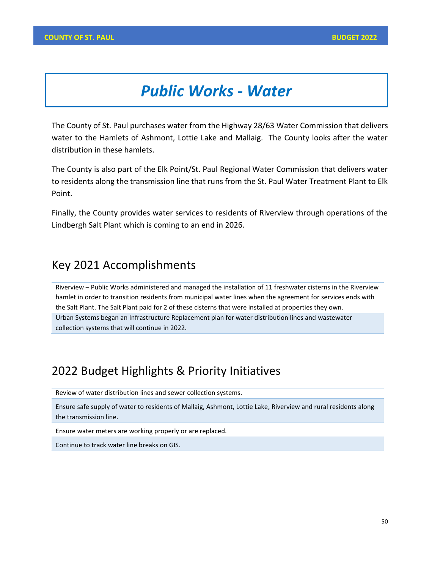# *Public Works - Water*

The County of St. Paul purchases water from the Highway 28/63 Water Commission that delivers water to the Hamlets of Ashmont, Lottie Lake and Mallaig. The County looks after the water distribution in these hamlets.

The County is also part of the Elk Point/St. Paul Regional Water Commission that delivers water to residents along the transmission line that runs from the St. Paul Water Treatment Plant to Elk Point.

Finally, the County provides water services to residents of Riverview through operations of the Lindbergh Salt Plant which is coming to an end in 2026.

#### Key 2021 Accomplishments

Riverview – Public Works administered and managed the installation of 11 freshwater cisterns in the Riverview hamlet in order to transition residents from municipal water lines when the agreement for services ends with the Salt Plant. The Salt Plant paid for 2 of these cisterns that were installed at properties they own. Urban Systems began an Infrastructure Replacement plan for water distribution lines and wastewater collection systems that will continue in 2022.

#### 2022 Budget Highlights & Priority Initiatives

Review of water distribution lines and sewer collection systems.

Ensure safe supply of water to residents of Mallaig, Ashmont, Lottie Lake, Riverview and rural residents along the transmission line.

Ensure water meters are working properly or are replaced.

Continue to track water line breaks on GIS.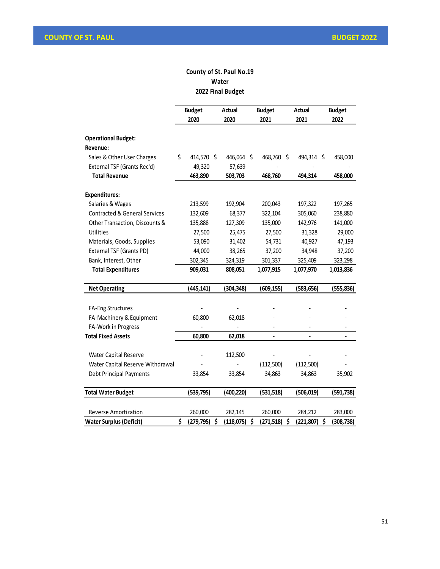#### **County of St. Paul No.19 Water 2022 Final Budget**

|                                          | <b>Budget</b>          | Actual     | <b>Budget</b>    | Actual                   | <b>Budget</b>    |  |  |
|------------------------------------------|------------------------|------------|------------------|--------------------------|------------------|--|--|
|                                          | 2020                   | 2020       | 2021             | 2021                     | 2022             |  |  |
| <b>Operational Budget:</b>               |                        |            |                  |                          |                  |  |  |
| Revenue:                                 |                        |            |                  |                          |                  |  |  |
| Sales & Other User Charges               | \$<br>414,570 \$       | 446,064 \$ | 468,760 \$       | 494,314 \$               | 458,000          |  |  |
| External TSF (Grants Rec'd)              | 49,320                 | 57,639     |                  |                          |                  |  |  |
| <b>Total Revenue</b>                     | 463,890                | 503,703    | 468,760          | 494,314                  | 458,000          |  |  |
| <b>Expenditures:</b>                     |                        |            |                  |                          |                  |  |  |
| Salaries & Wages                         | 213,599                | 192,904    | 200,043          | 197,322                  | 197,265          |  |  |
| <b>Contracted &amp; General Services</b> | 132,609                | 68,377     | 322,104          | 305,060                  | 238,880          |  |  |
| Other Transaction, Discounts &           | 135,888                | 127,309    | 135,000          | 142,976                  | 141,000          |  |  |
| Utilities                                | 27,500                 | 25,475     | 27,500           | 31,328                   | 29,000           |  |  |
| Materials, Goods, Supplies               | 53,090                 | 31,402     | 54,731           | 40,927                   | 47,193           |  |  |
| External TSF (Grants PD)                 | 44,000                 | 38,265     | 37,200           | 34,948                   | 37,200           |  |  |
| Bank, Interest, Other                    | 302,345                | 324,319    | 301,337          | 325,409                  | 323,298          |  |  |
| <b>Total Expenditures</b>                | 909,031                | 808,051    | 1,077,915        | 1,077,970                | 1,013,836        |  |  |
| <b>Net Operating</b>                     | (445, 141)             | (304, 348) | (609, 155)       | (583, 656)               | (555, 836)       |  |  |
|                                          |                        |            |                  |                          |                  |  |  |
| <b>FA-Eng Structures</b>                 |                        |            |                  |                          |                  |  |  |
| FA-Machinery & Equipment                 | 60,800                 | 62,018     |                  |                          |                  |  |  |
| FA-Work in Progress                      |                        |            |                  |                          |                  |  |  |
| <b>Total Fixed Assets</b>                | 60,800                 | 62,018     | $\overline{a}$   | $\overline{\phantom{0}}$ |                  |  |  |
| Water Capital Reserve                    |                        | 112,500    |                  |                          |                  |  |  |
| Water Capital Reserve Withdrawal         |                        |            | (112, 500)       | (112, 500)               |                  |  |  |
| <b>Debt Principal Payments</b>           | 33,854                 | 33,854     | 34,863           | 34,863                   | 35,902           |  |  |
| <b>Total Water Budget</b>                | (539, 795)             | (400,220)  | (531, 518)       | (506, 019)               | (591, 738)       |  |  |
|                                          |                        |            |                  |                          |                  |  |  |
| Reverse Amortization                     | 260,000                | 282,145    | 260,000          | 284,212                  | 283,000          |  |  |
| <b>Water Surplus (Deficit)</b>           | \$<br>\$<br>(279, 795) | (118, 075) | \$<br>(271, 518) | \$<br>(221, 807)         | \$<br>(308, 738) |  |  |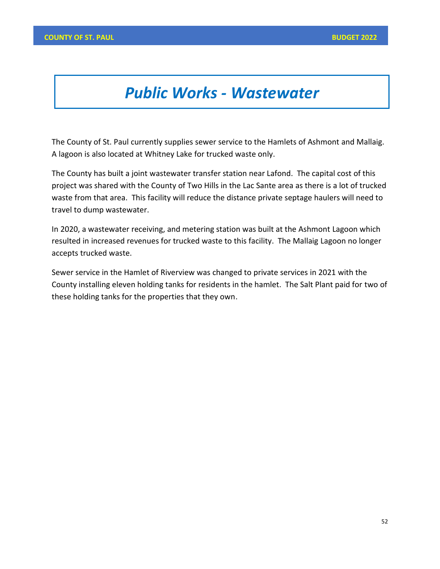## *Public Works - Wastewater*

The County of St. Paul currently supplies sewer service to the Hamlets of Ashmont and Mallaig. A lagoon is also located at Whitney Lake for trucked waste only.

The County has built a joint wastewater transfer station near Lafond. The capital cost of this project was shared with the County of Two Hills in the Lac Sante area as there is a lot of trucked waste from that area. This facility will reduce the distance private septage haulers will need to travel to dump wastewater.

In 2020, a wastewater receiving, and metering station was built at the Ashmont Lagoon which resulted in increased revenues for trucked waste to this facility. The Mallaig Lagoon no longer accepts trucked waste.

Sewer service in the Hamlet of Riverview was changed to private services in 2021 with the County installing eleven holding tanks for residents in the hamlet. The Salt Plant paid for two of these holding tanks for the properties that they own.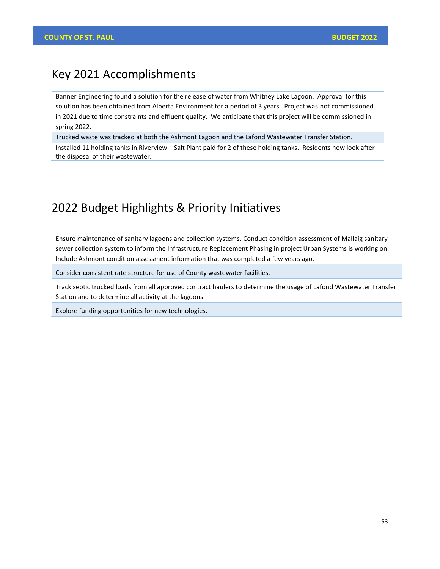#### Key 2021 Accomplishments

Banner Engineering found a solution for the release of water from Whitney Lake Lagoon. Approval for this solution has been obtained from Alberta Environment for a period of 3 years. Project was not commissioned in 2021 due to time constraints and effluent quality. We anticipate that this project will be commissioned in spring 2022.

Trucked waste was tracked at both the Ashmont Lagoon and the Lafond Wastewater Transfer Station.

Installed 11 holding tanks in Riverview – Salt Plant paid for 2 of these holding tanks. Residents now look after the disposal of their wastewater.

#### 2022 Budget Highlights & Priority Initiatives

Ensure maintenance of sanitary lagoons and collection systems. Conduct condition assessment of Mallaig sanitary sewer collection system to inform the Infrastructure Replacement Phasing in project Urban Systems is working on. Include Ashmont condition assessment information that was completed a few years ago.

Consider consistent rate structure for use of County wastewater facilities.

Track septic trucked loads from all approved contract haulers to determine the usage of Lafond Wastewater Transfer Station and to determine all activity at the lagoons.

Explore funding opportunities for new technologies.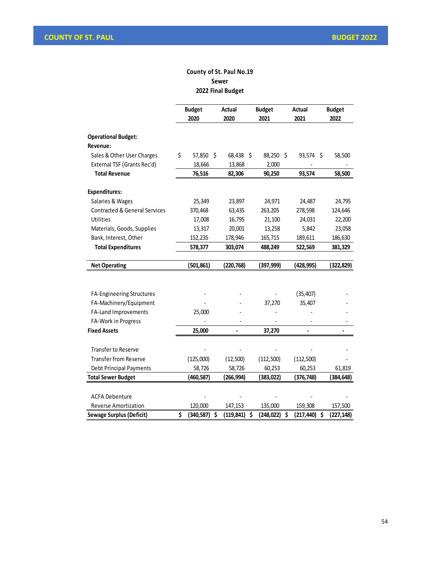#### **County of St. Paul No.19 Sewer 2022 Final Budget**

|                                          | <b>Budget</b>    | <b>Actual</b>    |     | <b>Budget</b> | <b>Actual</b> |            |    | <b>Budget</b> |  |  |
|------------------------------------------|------------------|------------------|-----|---------------|---------------|------------|----|---------------|--|--|
|                                          | 2020             | 2020             |     | 2021          | 2021          |            |    | 2022          |  |  |
| <b>Operational Budget:</b>               |                  |                  |     |               |               |            |    |               |  |  |
| Revenue:                                 |                  |                  |     |               |               |            |    |               |  |  |
| Sales & Other User Charges               | \$<br>57,850 \$  | 68,438           | -\$ | 88,250 \$     |               | 93,574 \$  |    | 58,500        |  |  |
| External TSF (Grants Rec'd)              | 18,666           | 13,868           |     | 2,000         |               |            |    |               |  |  |
| <b>Total Revenue</b>                     | 76,516           | 82,306           |     | 90,250        |               | 93,574     |    | 58,500        |  |  |
| <b>Expenditures:</b>                     |                  |                  |     |               |               |            |    |               |  |  |
| Salaries & Wages                         | 25,349           | 23,897           |     | 24,971        |               | 24,487     |    | 24,795        |  |  |
| <b>Contracted &amp; General Services</b> | 370,468          | 63,435           |     | 263,205       |               | 278,598    |    | 124,646       |  |  |
| <b>Utilities</b>                         | 17,008           | 16,795           |     | 21,100        |               | 24,031     |    | 22,200        |  |  |
| Materials, Goods, Supplies               | 13,317           | 20,001           |     | 13,258        |               | 5,842      |    | 23,058        |  |  |
| Bank, Interest, Other                    | 152,235          | 178,946          |     | 165,715       |               | 189,611    |    | 186,630       |  |  |
| <b>Total Expenditures</b>                | 578,377          | 303,074          |     | 488,249       |               | 522,569    |    | 381,329       |  |  |
| <b>Net Operating</b>                     | (501, 861)       | (220, 768)       |     | (397, 999)    |               | (428,995)  |    | (322, 829)    |  |  |
|                                          |                  |                  |     |               |               |            |    |               |  |  |
| <b>FA-Engineering Structures</b>         |                  |                  |     |               |               | (35, 407)  |    |               |  |  |
| FA-Machinery/Equipment                   |                  |                  |     | 37,270        |               | 35,407     |    |               |  |  |
| FA-Land Improvements                     | 25,000           |                  |     |               |               |            |    |               |  |  |
| FA-Work in Progress                      |                  |                  |     |               |               |            |    |               |  |  |
| <b>Fixed Assets</b>                      | 25,000           |                  |     | 37,270        |               |            |    |               |  |  |
| <b>Transfer to Reserve</b>               |                  |                  |     |               |               |            |    |               |  |  |
| <b>Transfer from Reserve</b>             | (125,000)        | (12,500)         |     | (112,500)     |               | (112,500)  |    |               |  |  |
| <b>Debt Principal Payments</b>           | 58,726           | 58,726           |     | 60,253        |               | 60,253     |    | 61,819        |  |  |
| <b>Total Sewer Budget</b>                | (460,587)        | (266, 994)       |     | (383, 022)    |               | (376, 748) |    | (384, 648)    |  |  |
|                                          |                  |                  |     |               |               |            |    |               |  |  |
| <b>ACFA Debenture</b>                    |                  |                  |     |               |               |            |    |               |  |  |
| <b>Reverse Amortization</b>              | 120,000          | 147,153          |     | 135,000       |               | 159,308    |    | 157,500       |  |  |
| <b>Sewage Surplus (Deficit)</b>          | \$<br>(340, 587) | \$<br>(119, 841) | \$  | (248, 022)    | \$            | (217, 440) | \$ | (227,148)     |  |  |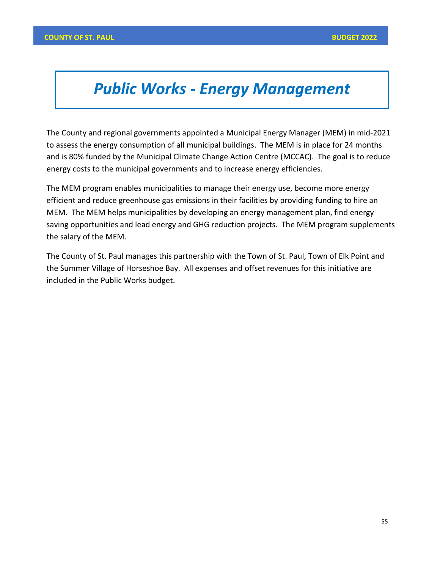# *Public Works - Energy Management*

The County and regional governments appointed a Municipal Energy Manager (MEM) in mid-2021 to assess the energy consumption of all municipal buildings. The MEM is in place for 24 months and is 80% funded by the Municipal Climate Change Action Centre (MCCAC). The goal is to reduce energy costs to the municipal governments and to increase energy efficiencies.

The MEM program enables municipalities to manage their energy use, become more energy efficient and reduce greenhouse gas emissions in their facilities by providing funding to hire an MEM. The MEM helps municipalities by developing an energy management plan, find energy saving opportunities and lead energy and GHG reduction projects. The MEM program supplements the salary of the MEM.

The County of St. Paul manages this partnership with the Town of St. Paul, Town of Elk Point and the Summer Village of Horseshoe Bay. All expenses and offset revenues for this initiative are included in the Public Works budget.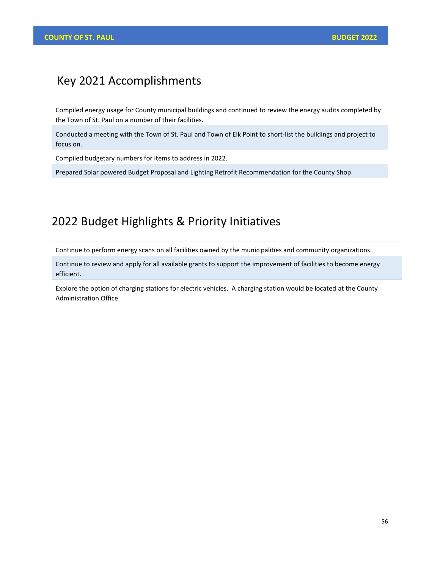#### Key 2021 Accomplishments

Compiled energy usage for County municipal buildings and continued to review the energy audits completed by the Town of St. Paul on a number of their facilities.

Conducted a meeting with the Town of St. Paul and Town of Elk Point to short-list the buildings and project to focus on.

Compiled budgetary numbers for items to address in 2022.

Prepared Solar powered Budget Proposal and Lighting Retrofit Recommendation for the County Shop.

## 2022 Budget Highlights & Priority Initiatives

Continue to perform energy scans on all facilities owned by the municipalities and community organizations.

Continue to review and apply for all available grants to support the improvement of facilities to become energy efficient.

Explore the option of charging stations for electric vehicles. A charging station would be located at the County Administration Office.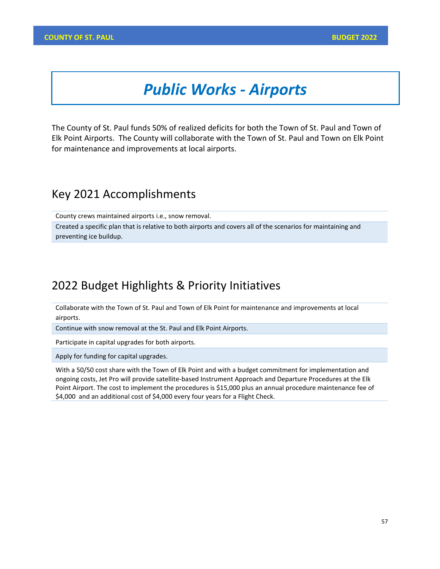# *Public Works - Airports*

The County of St. Paul funds 50% of realized deficits for both the Town of St. Paul and Town of Elk Point Airports. The County will collaborate with the Town of St. Paul and Town on Elk Point for maintenance and improvements at local airports.

#### Key 2021 Accomplishments

County crews maintained airports i.e., snow removal.

Created a specific plan that is relative to both airports and covers all of the scenarios for maintaining and preventing ice buildup.

## 2022 Budget Highlights & Priority Initiatives

Collaborate with the Town of St. Paul and Town of Elk Point for maintenance and improvements at local airports.

Continue with snow removal at the St. Paul and Elk Point Airports.

Participate in capital upgrades for both airports.

Apply for funding for capital upgrades.

With a 50/50 cost share with the Town of Elk Point and with a budget commitment for implementation and ongoing costs, Jet Pro will provide satellite-based Instrument Approach and Departure Procedures at the Elk Point Airport. The cost to implement the procedures is \$15,000 plus an annual procedure maintenance fee of \$4,000 and an additional cost of \$4,000 every four years for a Flight Check.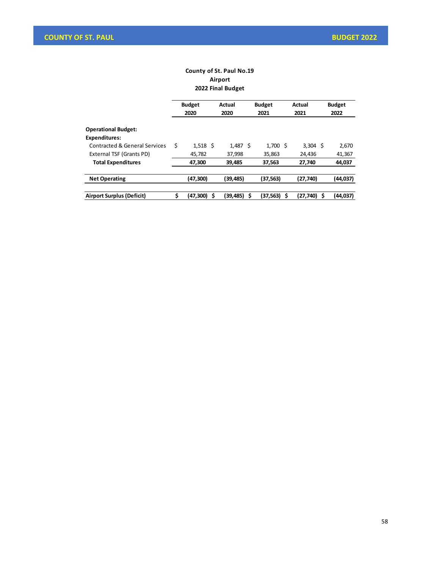#### **County of St. Paul No.19 Airport 2022 Final Budget**

| <b>Budget</b><br>2020 |               | Actual<br>2020 |          | <b>Budget</b><br>2021 | Actual<br>2021 |          |               | <b>Budget</b><br>2022 |
|-----------------------|---------------|----------------|----------|-----------------------|----------------|----------|---------------|-----------------------|
|                       |               |                |          |                       |                |          |               |                       |
|                       |               |                |          |                       |                |          |               |                       |
| \$                    |               |                |          | 1.700                 |                | 3.304    |               | 2,670                 |
| 45,782                |               | 37,998         |          | 35,863                |                | 24,436   |               | 41,367                |
| 47.300                |               | 39.485         |          | 37.563                |                | 27.740   |               | 44,037                |
| (47,300)              |               | (39,485)       |          | (37,563)              |                | (27,740) |               | (44,037)              |
|                       |               |                |          |                       |                |          |               | (44, 037)             |
|                       | Ś<br>(47,300) | $1,518$ \$     | (39,485) | $1,487$ \$            | (37,563)<br>Ś  | - Ś      | (27,740)<br>Ŝ | - S                   |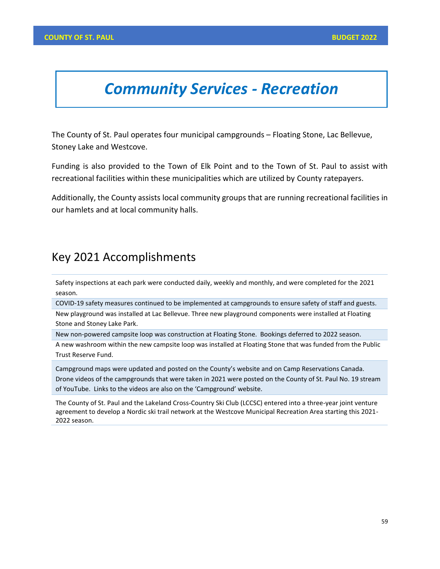## *Community Services - Recreation*

The County of St. Paul operates four municipal campgrounds – Floating Stone, Lac Bellevue, Stoney Lake and Westcove.

Funding is also provided to the Town of Elk Point and to the Town of St. Paul to assist with recreational facilities within these municipalities which are utilized by County ratepayers.

Additionally, the County assists local community groups that are running recreational facilities in our hamlets and at local community halls.

#### Key 2021 Accomplishments

Safety inspections at each park were conducted daily, weekly and monthly, and were completed for the 2021 season.

COVID-19 safety measures continued to be implemented at campgrounds to ensure safety of staff and guests.

New playground was installed at Lac Bellevue. Three new playground components were installed at Floating Stone and Stoney Lake Park.

New non-powered campsite loop was construction at Floating Stone. Bookings deferred to 2022 season.

A new washroom within the new campsite loop was installed at Floating Stone that was funded from the Public Trust Reserve Fund.

Campground maps were updated and posted on the County's website and on Camp Reservations Canada. Drone videos of the campgrounds that were taken in 2021 were posted on the County of St. Paul No. 19 stream of YouTube. Links to the videos are also on the 'Campground' website.

The County of St. Paul and the Lakeland Cross-Country Ski Club (LCCSC) entered into a three-year joint venture agreement to develop a Nordic ski trail network at the Westcove Municipal Recreation Area starting this 2021- 2022 season.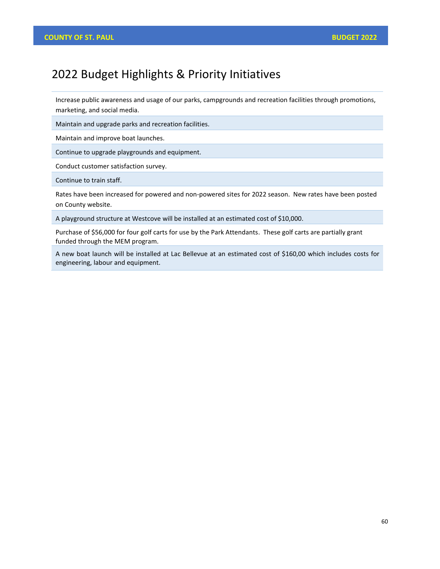## 2022 Budget Highlights & Priority Initiatives

Increase public awareness and usage of our parks, campgrounds and recreation facilities through promotions, marketing, and social media.

Maintain and upgrade parks and recreation facilities.

Maintain and improve boat launches.

Continue to upgrade playgrounds and equipment.

Conduct customer satisfaction survey.

Continue to train staff.

Rates have been increased for powered and non-powered sites for 2022 season. New rates have been posted on County website.

A playground structure at Westcove will be installed at an estimated cost of \$10,000.

Purchase of \$56,000 for four golf carts for use by the Park Attendants. These golf carts are partially grant funded through the MEM program.

A new boat launch will be installed at Lac Bellevue at an estimated cost of \$160,00 which includes costs for engineering, labour and equipment.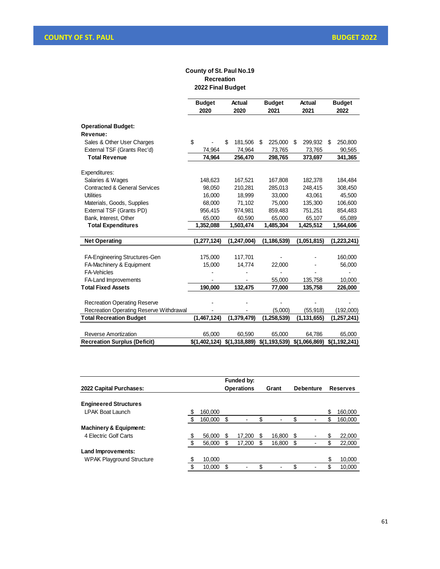#### **County of St. Paul No.19 Recreation 2022 Final Budget**

|                                                | <b>Budget</b><br>2020 | Actual<br>2020 | <b>Budget</b><br>2021 | Actual<br>2021 | <b>Budget</b><br>2022 |
|------------------------------------------------|-----------------------|----------------|-----------------------|----------------|-----------------------|
| <b>Operational Budget:</b><br>Revenue:         |                       |                |                       |                |                       |
| Sales & Other User Charges                     | \$                    | \$<br>181,506  | 225,000<br>\$         | 299,932<br>\$  | 250,800<br>\$         |
| External TSF (Grants Rec'd)                    | 74,964                | 74,964         | 73,765                | 73,765         | 90,565                |
| <b>Total Revenue</b>                           | 74,964                | 256,470        | 298,765               | 373,697        | 341,365               |
| Expenditures:                                  |                       |                |                       |                |                       |
| Salaries & Wages                               | 148,623               | 167,521        | 167,808               | 182,378        | 184,484               |
| <b>Contracted &amp; General Services</b>       | 98,050                | 210,281        | 285,013               | 248,415        | 308,450               |
| <b>Utilities</b>                               | 16,000                | 18,999         | 33,000                | 43,061         | 45,500                |
| Materials, Goods, Supplies                     | 68,000                | 71,102         | 75,000                | 135,300        | 106,600               |
| External TSF (Grants PD)                       | 956.415               | 974.981        | 859,483               | 751.251        | 854,483               |
| Bank, Interest, Other                          | 65,000                | 60,590         | 65,000                | 65,107         | 65,089                |
| <b>Total Expenditures</b>                      | 1,352,088             | 1,503,474      | 1,485,304             | 1,425,512      | 1,564,606             |
| <b>Net Operating</b>                           | (1, 277, 124)         | (1, 247, 004)  | (1, 186, 539)         | (1,051,815)    | (1, 223, 241)         |
| FA-Engineering Structures-Gen                  | 175,000               | 117,701        |                       |                | 160,000               |
| FA-Machinery & Equipment                       | 15,000                | 14.774         | 22,000                |                | 56,000                |
| <b>FA-Vehicles</b>                             |                       |                |                       |                |                       |
| FA-Land Improvements                           |                       |                | 55,000                | 135,758        | 10,000                |
| <b>Total Fixed Assets</b>                      | 190,000               | 132,475        | 77,000                | 135,758        | 226,000               |
| <b>Recreation Operating Reserve</b>            |                       |                |                       |                |                       |
| <b>Recreation Operating Reserve Withdrawal</b> |                       |                | (5,000)               | (55,918)       | (192,000)             |
| <b>Total Recreation Budget</b>                 | (1,467,124)           | (1,379,479)    | (1, 258, 539)         | (1, 131, 655)  | (1, 257, 241)         |
|                                                |                       |                |                       |                |                       |
| <b>Reverse Amortization</b>                    | 65,000                | 60,590         | 65,000                | 64,786         | 65,000                |
| <b>Recreation Surplus (Deficit)</b>            | \$(1,402,124)         | \$(1,318,889)  | \$(1,193,539)         | \$(1,066,869)  | \$(1,192,241)         |

|                                   |     |         |    | Funded by:        |              |    |                  |                 |
|-----------------------------------|-----|---------|----|-------------------|--------------|----|------------------|-----------------|
| 2022 Capital Purchases:           |     |         |    | <b>Operations</b> | Grant        |    | <b>Debenture</b> | <b>Reserves</b> |
|                                   |     |         |    |                   |              |    |                  |                 |
| <b>Engineered Structures</b>      |     |         |    |                   |              |    |                  |                 |
| <b>LPAK Boat Launch</b>           |     | 160,000 |    |                   |              |    |                  | \$<br>160,000   |
|                                   | -\$ | 160,000 | \$ |                   | \$           | \$ |                  | \$<br>160,000   |
| <b>Machinery &amp; Equipment:</b> |     |         |    |                   |              |    |                  |                 |
| 4 Electric Golf Carts             | \$  | 56,000  | S  | 17.200            | \$<br>16,800 | S  |                  | 22,000          |
|                                   | \$  | 56,000  | \$ | 17,200            | \$<br>16,800 | \$ |                  | \$<br>22,000    |
| Land Improvements:                |     |         |    |                   |              |    |                  |                 |
| <b>WPAK Playground Structure</b>  | \$  | 10,000  |    |                   |              |    |                  | \$<br>10,000    |
|                                   | \$  | 10,000  | \$ |                   | \$           |    |                  | \$<br>10,000    |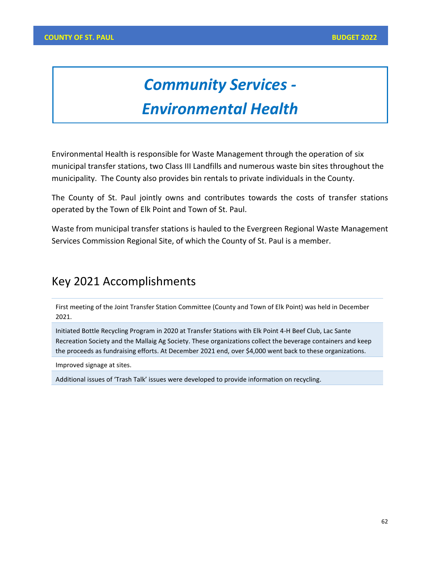# *Community Services -*

# *Environmental Health*

Environmental Health is responsible for Waste Management through the operation of six municipal transfer stations, two Class III Landfills and numerous waste bin sites throughout the municipality. The County also provides bin rentals to private individuals in the County.

The County of St. Paul jointly owns and contributes towards the costs of transfer stations operated by the Town of Elk Point and Town of St. Paul.

Waste from municipal transfer stations is hauled to the Evergreen Regional Waste Management Services Commission Regional Site, of which the County of St. Paul is a member.

## Key 2021 Accomplishments

First meeting of the Joint Transfer Station Committee (County and Town of Elk Point) was held in December 2021.

Initiated Bottle Recycling Program in 2020 at Transfer Stations with Elk Point 4-H Beef Club, Lac Sante Recreation Society and the Mallaig Ag Society. These organizations collect the beverage containers and keep the proceeds as fundraising efforts. At December 2021 end, over \$4,000 went back to these organizations.

Improved signage at sites.

Additional issues of 'Trash Talk' issues were developed to provide information on recycling.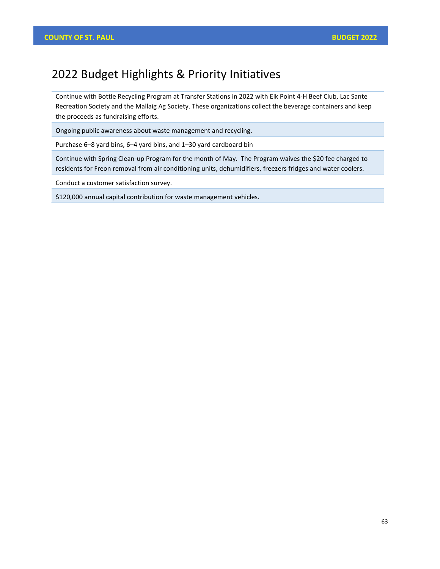## 2022 Budget Highlights & Priority Initiatives

Continue with Bottle Recycling Program at Transfer Stations in 2022 with Elk Point 4-H Beef Club, Lac Sante Recreation Society and the Mallaig Ag Society. These organizations collect the beverage containers and keep the proceeds as fundraising efforts.

Ongoing public awareness about waste management and recycling.

Purchase 6–8 yard bins, 6–4 yard bins, and 1–30 yard cardboard bin

Continue with Spring Clean-up Program for the month of May. The Program waives the \$20 fee charged to residents for Freon removal from air conditioning units, dehumidifiers, freezers fridges and water coolers.

Conduct a customer satisfaction survey.

\$120,000 annual capital contribution for waste management vehicles.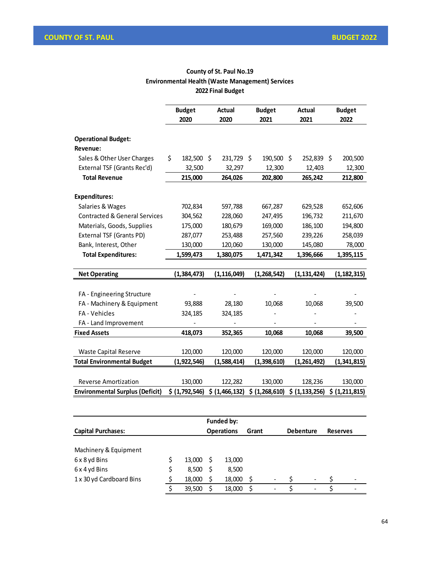#### **County of St. Paul No.19 Environmental Health (Waste Management) Services 2022 Final Budget**

|                                          | <b>Budget</b>    | Actual         | <b>Budget</b>  | <b>Actual</b>    | <b>Budget</b>  |
|------------------------------------------|------------------|----------------|----------------|------------------|----------------|
|                                          | 2020             | 2020           | 2021           | 2021             | 2022           |
|                                          |                  |                |                |                  |                |
| <b>Operational Budget:</b><br>Revenue:   |                  |                |                |                  |                |
| Sales & Other User Charges               | \$<br>182,500 \$ | 231,729        | 190,500<br>\$  | Ŝ.<br>252,839 \$ | 200,500        |
| External TSF (Grants Rec'd)              | 32,500           | 32,297         | 12,300         | 12,403           | 12,300         |
| <b>Total Revenue</b>                     | 215,000          | 264,026        | 202,800        | 265,242          | 212,800        |
| <b>Expenditures:</b>                     |                  |                |                |                  |                |
| Salaries & Wages                         | 702,834          | 597,788        | 667,287        | 629,528          | 652,606        |
| <b>Contracted &amp; General Services</b> | 304,562          | 228,060        | 247,495        | 196,732          | 211,670        |
| Materials, Goods, Supplies               | 175,000          | 180,679        | 169,000        | 186,100          | 194,800        |
| External TSF (Grants PD)                 | 287,077          | 253,488        | 257,560        | 239,226          | 258,039        |
| Bank, Interest, Other                    | 130,000          | 120,060        | 130,000        | 145,080          | 78,000         |
| <b>Total Expenditures:</b>               | 1,599,473        | 1,380,075      | 1,471,342      | 1,396,666        | 1,395,115      |
|                                          |                  |                |                |                  |                |
| <b>Net Operating</b>                     | (1, 384, 473)    | (1, 116, 049)  | (1, 268, 542)  | (1, 131, 424)    | (1, 182, 315)  |
|                                          |                  |                |                |                  |                |
| FA - Engineering Structure               |                  |                |                |                  |                |
| FA - Machinery & Equipment               | 93,888           | 28,180         | 10,068         | 10,068           | 39,500         |
| FA - Vehicles                            | 324,185          | 324,185        |                |                  |                |
| FA - Land Improvement                    |                  |                |                |                  |                |
| <b>Fixed Assets</b>                      | 418,073          | 352,365        | 10,068         | 10,068           | 39,500         |
|                                          |                  |                |                |                  |                |
| <b>Waste Capital Reserve</b>             | 120,000          | 120,000        | 120,000        | 120,000          | 120,000        |
| <b>Total Environmental Budget</b>        | (1,922,546)      | (1,588,414)    | (1,398,610)    | (1,261,492)      | (1,341,815)    |
|                                          |                  |                |                |                  |                |
| <b>Reverse Amortization</b>              | 130,000          | 122,282        | 130,000        | 128,236          | 130,000        |
| <b>Environmental Surplus (Deficit)</b>   | \$ (1,792,546)   | \$ (1,466,132) | \$ (1,268,610) | \$ (1, 133, 256) | \$ (1,211,815) |

|                           |  |        |     | Funded by:        |       |                          |                  |                          |                 |  |
|---------------------------|--|--------|-----|-------------------|-------|--------------------------|------------------|--------------------------|-----------------|--|
| <b>Capital Purchases:</b> |  |        |     | <b>Operations</b> | Grant |                          | <b>Debenture</b> |                          | <b>Reserves</b> |  |
|                           |  |        |     |                   |       |                          |                  |                          |                 |  |
| Machinery & Equipment     |  |        |     |                   |       |                          |                  |                          |                 |  |
| 6 x 8 yd Bins             |  | 13,000 | - S | 13,000            |       |                          |                  |                          |                 |  |
| 6 x 4 yd Bins             |  | 8,500  | - S | 8,500             |       |                          |                  |                          |                 |  |
| 1 x 30 yd Cardboard Bins  |  | 18,000 |     | 18,000            |       | $\qquad \qquad -$        |                  | $\overline{\phantom{a}}$ |                 |  |
|                           |  | 39.500 |     | 18,000            |       | $\overline{\phantom{a}}$ |                  | $\overline{\phantom{a}}$ |                 |  |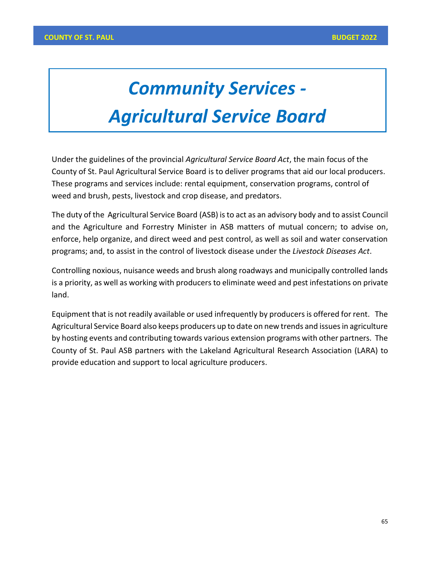# *Community Services - Agricultural Service Board*

Under the guidelines of the provincial *Agricultural Service Board Act*, the main focus of the County of St. Paul Agricultural Service Board is to deliver programs that aid our local producers. These programs and services include: rental equipment, conservation programs, control of weed and brush, pests, livestock and crop disease, and predators.

The duty of the Agricultural Service Board (ASB) is to act as an advisory body and to assist Council and the Agriculture and Forrestry Minister in ASB matters of mutual concern; to advise on, enforce, help organize, and direct weed and pest control, as well as soil and water conservation programs; and, to assist in the control of livestock disease under the *Livestock Diseases Act*.

Controlling noxious, nuisance weeds and brush along roadways and municipally controlled lands is a priority, as well as working with producers to eliminate weed and pest infestations on private land.

Equipment that is not readily available or used infrequently by producers is offered for rent. The Agricultural Service Board also keeps producers up to date on new trends and issues in agriculture by hosting events and contributing towards various extension programs with other partners. The County of St. Paul ASB partners with the Lakeland Agricultural Research Association (LARA) to provide education and support to local agriculture producers.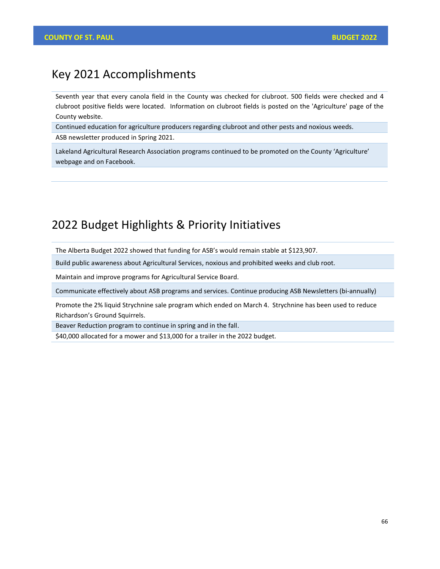### Key 2021 Accomplishments

Seventh year that every canola field in the County was checked for clubroot. 500 fields were checked and 4 clubroot positive fields were located. Information on clubroot fields is posted on the 'Agriculture' page of the County website.

Continued education for agriculture producers regarding clubroot and other pests and noxious weeds. ASB newsletter produced in Spring 2021.

Lakeland Agricultural Research Association programs continued to be promoted on the County 'Agriculture' webpage and on Facebook.

## 2022 Budget Highlights & Priority Initiatives

The Alberta Budget 2022 showed that funding for ASB's would remain stable at \$123,907.

Build public awareness about Agricultural Services, noxious and prohibited weeks and club root.

Maintain and improve programs for Agricultural Service Board.

Communicate effectively about ASB programs and services. Continue producing ASB Newsletters (bi-annually)

Promote the 2% liquid Strychnine sale program which ended on March 4. Strychnine has been used to reduce Richardson's Ground Squirrels.

Beaver Reduction program to continue in spring and in the fall.

\$40,000 allocated for a mower and \$13,000 for a trailer in the 2022 budget.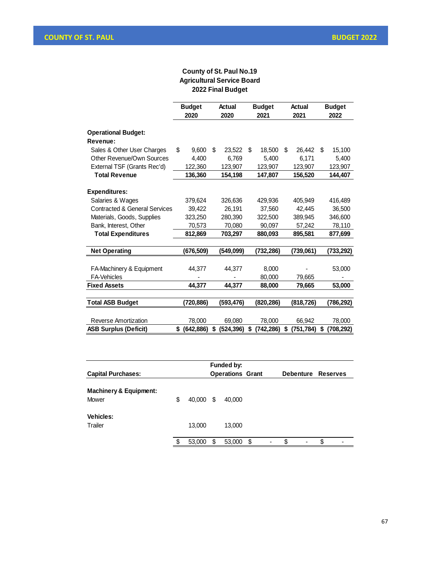#### **County of St. Paul No.19 Agricultural Service Board 2022 Final Budget**

|                                                | <b>Budget</b><br>2020 | Actual<br>2020   | <b>Budget</b><br>2021 | Actual<br>2021   | <b>Budget</b><br>2022 |
|------------------------------------------------|-----------------------|------------------|-----------------------|------------------|-----------------------|
| <b>Operational Budget:</b>                     |                       |                  |                       |                  |                       |
| Revenue:                                       |                       |                  |                       |                  |                       |
| Sales & Other User Charges                     | \$<br>9,600           | \$<br>23,522     | \$<br>18,500          | \$<br>26,442     | \$<br>15,100          |
| Other Revenue/Own Sources                      | 4.400                 | 6.769            | 5.400                 | 6,171            | 5,400                 |
| External TSF (Grants Rec'd)                    | 122,360               | 123,907          | 123,907               | 123,907          | 123,907               |
| <b>Total Revenue</b>                           | 136,360               | 154,198          | 147,807               | 156,520          | 144,407               |
| <b>Expenditures:</b>                           |                       |                  |                       |                  |                       |
| Salaries & Wages                               | 379,624               | 326,636          | 429,936               | 405,949          | 416,489               |
| <b>Contracted &amp; General Services</b>       | 39,422                | 26,191           | 37,560                | 42,445           | 36,500                |
| Materials, Goods, Supplies                     | 323,250               | 280,390          | 322,500               | 389,945          | 346,600               |
| Bank, Interest, Other                          | 70,573                | 70,080           | 90,097                | 57,242           | 78,110                |
| <b>Total Expenditures</b>                      | 812,869               | 703,297          | 880,093               | 895,581          | 877,699               |
| <b>Net Operating</b>                           | (676,509)             | (549.099)        | (732, 286)            | (739,061)        | (733,292)             |
|                                                |                       |                  |                       |                  |                       |
| FA-Machinery & Equipment<br><b>FA-Vehicles</b> | 44,377                | 44,377           | 8,000<br>80,000       |                  | 53,000                |
| <b>Fixed Assets</b>                            | 44.377                | 44.377           | 88,000                | 79,665<br>79,665 | 53,000                |
|                                                |                       |                  |                       |                  |                       |
| <b>Total ASB Budget</b>                        | (720,886)             | (593,476)        | (820, 286)            | (818,726)        | (786, 292)            |
| Reverse Amortization                           | 78,000                | 69,080           | 78,000                | 66,942           | 78,000                |
| <b>ASB Surplus (Deficit)</b>                   | \$<br>(642, 886)      | \$<br>(524, 396) | \$<br>(742, 286)      | \$<br>(751, 784) | \$<br>(708, 292)      |

|                                            |              |   | Funded by:              |   |   |                    |    |
|--------------------------------------------|--------------|---|-------------------------|---|---|--------------------|----|
| <b>Capital Purchases:</b>                  |              |   | <b>Operations Grant</b> |   |   | Debenture Reserves |    |
| <b>Machinery &amp; Equipment:</b><br>Mower | \$<br>40.000 | S | 40,000                  |   |   |                    |    |
| <b>Vehicles:</b><br>Trailer                | 13,000       |   | 13,000                  |   |   |                    |    |
|                                            | \$<br>53,000 | S | 53,000                  | S | ٠ | \$<br>٠            | \$ |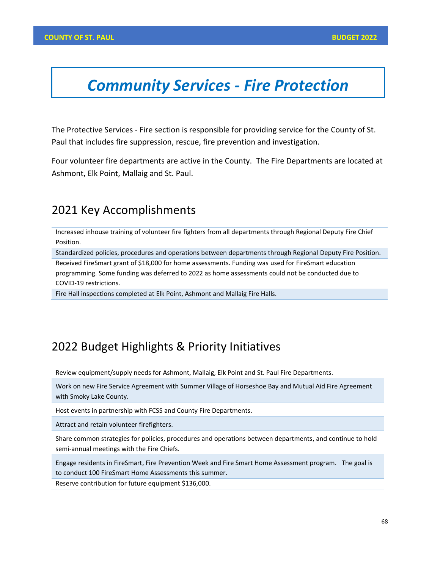# *Community Services - Fire Protection*

The Protective Services - Fire section is responsible for providing service for the County of St. Paul that includes fire suppression, rescue, fire prevention and investigation.

Four volunteer fire departments are active in the County. The Fire Departments are located at Ashmont, Elk Point, Mallaig and St. Paul.

## 2021 Key Accomplishments

Increased inhouse training of volunteer fire fighters from all departments through Regional Deputy Fire Chief Position.

Standardized policies, procedures and operations between departments through Regional Deputy Fire Position.

Received FireSmart grant of \$18,000 for home assessments. Funding was used for FireSmart education programming. Some funding was deferred to 2022 as home assessments could not be conducted due to COVID-19 restrictions.

Fire Hall inspections completed at Elk Point, Ashmont and Mallaig Fire Halls.

## 2022 Budget Highlights & Priority Initiatives

Review equipment/supply needs for Ashmont, Mallaig, Elk Point and St. Paul Fire Departments.

Work on new Fire Service Agreement with Summer Village of Horseshoe Bay and Mutual Aid Fire Agreement with Smoky Lake County.

Host events in partnership with FCSS and County Fire Departments.

Attract and retain volunteer firefighters.

Share common strategies for policies, procedures and operations between departments, and continue to hold semi-annual meetings with the Fire Chiefs.

Engage residents in FireSmart, Fire Prevention Week and Fire Smart Home Assessment program. The goal is to conduct 100 FireSmart Home Assessments this summer.

Reserve contribution for future equipment \$136,000.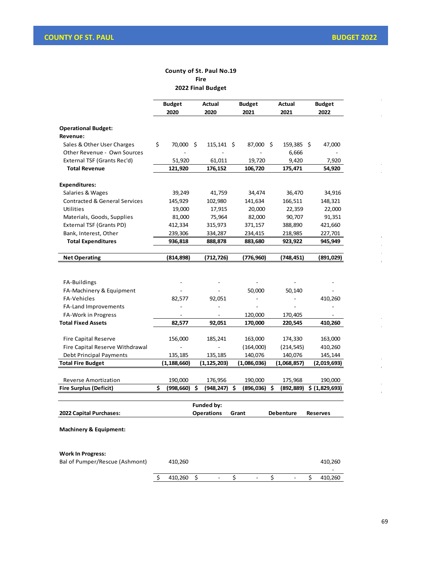$\ddot{\phantom{a}}$ 

 $\ddot{\phantom{a}}$ 

 $\hat{\mathbf{r}}$ l,

 $\frac{1}{2}$  $\frac{1}{2}$  $\frac{1}{2}$ 

 $\ddot{\phantom{1}}$  $\ddot{\phantom{a}}$ 

 $\hat{\mathcal{A}}$  $\hat{\mathcal{L}}$ 

#### **County of St. Paul No.19 Fire 2022 Final Budget**

|                                                            | <b>Budget</b>    |    | Actual            |    | <b>Budget</b>            | Actual          | <b>Budget</b> |                 |  |
|------------------------------------------------------------|------------------|----|-------------------|----|--------------------------|-----------------|---------------|-----------------|--|
|                                                            | 2020             |    | 2020              |    | 2021                     | 2021            |               | 2022            |  |
| <b>Operational Budget:</b>                                 |                  |    |                   |    |                          |                 |               |                 |  |
| Revenue:                                                   |                  |    |                   |    |                          |                 |               |                 |  |
| Sales & Other User Charges                                 | \$<br>70,000 \$  |    | $115,141 \pm 5$   |    | 87,000 \$                | $159,385$ \$    |               | 47,000          |  |
| Other Revenue - Own Sources                                |                  |    |                   |    |                          | 6,666           |               |                 |  |
| External TSF (Grants Rec'd)                                | 51,920           |    | 61,011            |    | 19,720                   | 9,420           |               | 7,920           |  |
| <b>Total Revenue</b>                                       | 121,920          |    | 176,152           |    | 106,720                  | 175,471         |               | 54,920          |  |
| <b>Expenditures:</b>                                       |                  |    |                   |    |                          |                 |               |                 |  |
| Salaries & Wages                                           | 39,249           |    | 41,759            |    | 34,474                   | 36,470          |               | 34,916          |  |
| <b>Contracted &amp; General Services</b>                   | 145,929          |    | 102,980           |    | 141,634                  | 166,511         |               | 148,321         |  |
| Utilities                                                  | 19,000           |    | 17,915            |    | 20,000                   | 22,359          |               | 22,000          |  |
| Materials, Goods, Supplies                                 | 81,000           |    | 75,964            |    | 82,000                   | 90,707          |               | 91,351          |  |
| External TSF (Grants PD)                                   | 412,334          |    | 315,973           |    | 371,157                  | 388,890         |               | 421,660         |  |
| Bank, Interest, Other                                      | 239,306          |    | 334,287           |    | 234,415                  | 218,985         |               | 227,701         |  |
| <b>Total Expenditures</b>                                  | 936,818          |    | 888,878           |    | 883,680                  | 923,922         |               | 945,949         |  |
|                                                            |                  |    |                   |    |                          |                 |               |                 |  |
| <b>Net Operating</b>                                       | (814,898)        |    | (712,726)         |    | (776,960)                | (748,451)       |               | (891,029)       |  |
|                                                            |                  |    |                   |    |                          |                 |               |                 |  |
| FA-Buildings                                               |                  |    |                   |    |                          |                 |               |                 |  |
| FA-Machinery & Equipment                                   |                  |    |                   |    | 50,000                   | 50,140          |               |                 |  |
| FA-Vehicles                                                | 82,577           |    | 92,051            |    |                          |                 |               | 410,260         |  |
| FA-Land Improvements                                       |                  |    |                   |    |                          |                 |               |                 |  |
| <b>FA-Work in Progress</b>                                 |                  |    |                   |    | 120,000                  | 170,405         |               |                 |  |
| <b>Total Fixed Assets</b>                                  | 82,577           |    | 92,051            |    | 170,000                  | 220,545         |               | 410,260         |  |
|                                                            |                  |    |                   |    |                          |                 |               |                 |  |
| <b>Fire Capital Reserve</b>                                | 156,000          |    | 185,241           |    | 163,000                  | 174,330         |               | 163,000         |  |
| Fire Capital Reserve Withdrawal                            |                  |    |                   |    | (164,000)                | (214, 545)      |               | 410,260         |  |
| Debt Principal Payments                                    | 135,185          |    | 135,185           |    | 140,076                  | 140,076         |               | 145,144         |  |
| <b>Total Fire Budget</b>                                   | (1,188,660)      |    | (1,125,203)       |    | (1,086,036)              | (1,068,857)     |               | (2,019,693)     |  |
| <b>Reverse Amortization</b>                                | 190,000          |    | 176,956           |    | 190,000                  | 175,968         |               | 190,000         |  |
| <b>Fire Surplus (Deficit)</b>                              | \$<br>(998, 660) | \$ | (948, 247)        | \$ | (896, 036)               | \$<br>(892,889) |               | \$ (1,829,693)  |  |
|                                                            |                  |    |                   |    |                          |                 |               |                 |  |
|                                                            |                  |    | Funded by:        |    |                          |                 |               |                 |  |
| 2022 Capital Purchases:                                    |                  |    | <b>Operations</b> |    | Grant                    | Debenture       |               | <b>Reserves</b> |  |
| <b>Machinery &amp; Equipment:</b>                          |                  |    |                   |    |                          |                 |               |                 |  |
|                                                            |                  |    |                   |    |                          |                 |               |                 |  |
|                                                            |                  |    |                   |    |                          |                 |               |                 |  |
| <b>Work In Progress:</b><br>Bal of Pumper/Rescue (Ashmont) | 410,260          |    |                   |    |                          |                 |               | 410,260         |  |
|                                                            |                  |    |                   |    |                          |                 |               | -               |  |
|                                                            | \$<br>410,260 \$ |    |                   | \$ | $\overline{\phantom{a}}$ | \$              | \$            | 410,260         |  |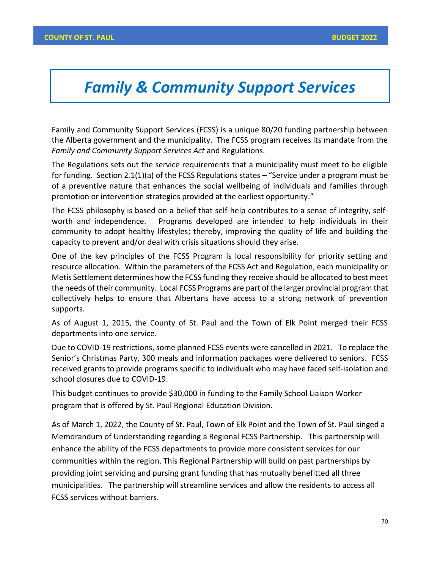# *Family & Community Support Services*

Family and Community Support Services (FCSS) is a unique 80/20 funding partnership between the Alberta government and the municipality. The FCSS program receives its mandate from the *Family and Community Support Services Act* and Regulations.

The Regulations sets out the service requirements that a municipality must meet to be eligible for funding. Section 2.1(1)(a) of the FCSS Regulations states – "Service under a program must be of a preventive nature that enhances the social wellbeing of individuals and families through promotion or intervention strategies provided at the earliest opportunity."

The FCSS philosophy is based on a belief that self-help contributes to a sense of integrity, selfworth and independence. Programs developed are intended to help individuals in their community to adopt healthy lifestyles; thereby, improving the quality of life and building the capacity to prevent and/or deal with crisis situations should they arise.

One of the key principles of the FCSS Program is local responsibility for priority setting and resource allocation. Within the parameters of the FCSS Act and Regulation, each municipality or Metis Settlement determines how the FCSS funding they receive should be allocated to best meet the needs of their community. Local FCSS Programs are part of the larger provincial program that collectively helps to ensure that Albertans have access to a strong network of prevention supports.

As of August 1, 2015, the County of St. Paul and the Town of Elk Point merged their FCSS departments into one service.

Due to COVID-19 restrictions, some planned FCSS events were cancelled in 2021. To replace the Senior's Christmas Party, 300 meals and information packages were delivered to seniors. FCSS received grants to provide programs specific to individuals who may have faced self-isolation and school closures due to COVID-19.

This budget continues to provide \$30,000 in funding to the Family School Liaison Worker program that is offered by St. Paul Regional Education Division.

As of March 1, 2022, the County of St. Paul, Town of Elk Point and the Town of St. Paul singed a Memorandum of Understanding regarding a Regional FCSS Partnership. This partnership will enhance the ability of the FCSS departments to provide more consistent services for our communities within the region. This Regional Partnership will build on past partnerships by providing joint servicing and pursing grant funding that has mutually benefitted all three municipalities. The partnership will streamline services and allow the residents to access all FCSS services without barriers.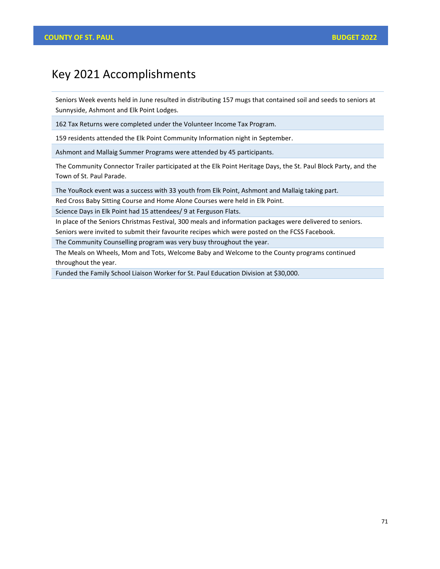## Key 2021 Accomplishments

Seniors Week events held in June resulted in distributing 157 mugs that contained soil and seeds to seniors at Sunnyside, Ashmont and Elk Point Lodges.

162 Tax Returns were completed under the Volunteer Income Tax Program.

159 residents attended the Elk Point Community Information night in September.

Ashmont and Mallaig Summer Programs were attended by 45 participants.

The Community Connector Trailer participated at the Elk Point Heritage Days, the St. Paul Block Party, and the Town of St. Paul Parade.

The YouRock event was a success with 33 youth from Elk Point, Ashmont and Mallaig taking part.

Red Cross Baby Sitting Course and Home Alone Courses were held in Elk Point.

Science Days in Elk Point had 15 attendees/ 9 at Ferguson Flats.

In place of the Seniors Christmas Festival, 300 meals and information packages were delivered to seniors. Seniors were invited to submit their favourite recipes which were posted on the FCSS Facebook.

The Community Counselling program was very busy throughout the year.

The Meals on Wheels, Mom and Tots, Welcome Baby and Welcome to the County programs continued throughout the year.

Funded the Family School Liaison Worker for St. Paul Education Division at \$30,000.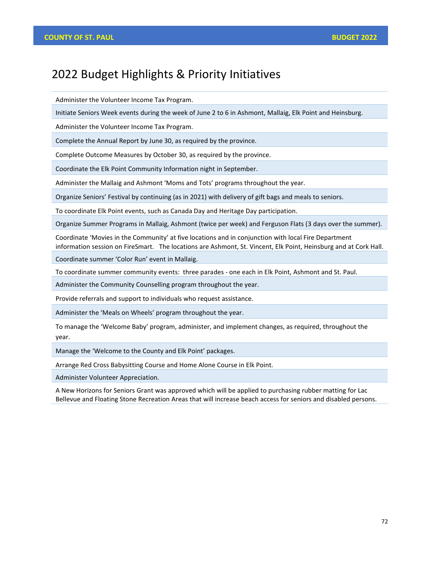## 2022 Budget Highlights & Priority Initiatives

Administer the Volunteer Income Tax Program.

Initiate Seniors Week events during the week of June 2 to 6 in Ashmont, Mallaig, Elk Point and Heinsburg.

Administer the Volunteer Income Tax Program.

Complete the Annual Report by June 30, as required by the province.

Complete Outcome Measures by October 30, as required by the province.

Coordinate the Elk Point Community Information night in September.

Administer the Mallaig and Ashmont 'Moms and Tots' programs throughout the year.

Organize Seniors' Festival by continuing (as in 2021) with delivery of gift bags and meals to seniors.

To coordinate Elk Point events, such as Canada Day and Heritage Day participation.

Organize Summer Programs in Mallaig, Ashmont (twice per week) and Ferguson Flats (3 days over the summer).

Coordinate 'Movies in the Community' at five locations and in conjunction with local Fire Department information session on FireSmart. The locations are Ashmont, St. Vincent, Elk Point, Heinsburg and at Cork Hall.

Coordinate summer 'Color Run' event in Mallaig.

To coordinate summer community events: three parades - one each in Elk Point, Ashmont and St. Paul.

Administer the Community Counselling program throughout the year.

Provide referrals and support to individuals who request assistance.

Administer the 'Meals on Wheels' program throughout the year.

To manage the 'Welcome Baby' program, administer, and implement changes, as required, throughout the year.

Manage the 'Welcome to the County and Elk Point' packages.

Arrange Red Cross Babysitting Course and Home Alone Course in Elk Point.

Administer Volunteer Appreciation.

A New Horizons for Seniors Grant was approved which will be applied to purchasing rubber matting for Lac Bellevue and Floating Stone Recreation Areas that will increase beach access for seniors and disabled persons.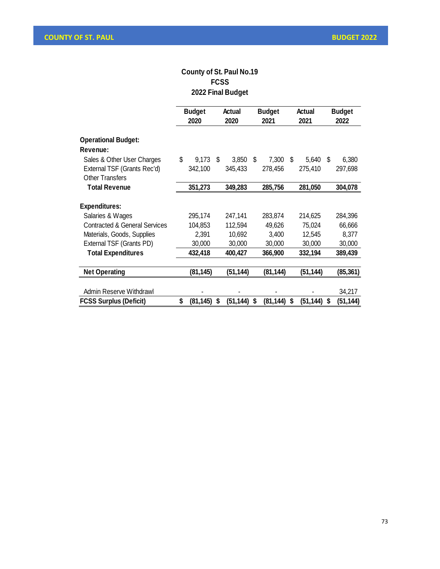#### **County of St. Paul No.19 FCSS 2022 Final Budget**

|                                                       | <b>Budget</b><br>2020 |           | Actual<br>2020 |          | <b>Budget</b><br>2021 |          | Actual<br>2021 |          | <b>Budget</b><br>2022 |          |
|-------------------------------------------------------|-----------------------|-----------|----------------|----------|-----------------------|----------|----------------|----------|-----------------------|----------|
|                                                       |                       |           |                |          |                       |          |                |          |                       |          |
| <b>Operational Budget:</b>                            |                       |           |                |          |                       |          |                |          |                       |          |
| Revenue:                                              |                       |           |                |          |                       |          |                |          |                       |          |
| Sales & Other User Charges                            | \$                    | 9,173     | \$             | 3,850    | \$                    | 7,300    | \$             | 5,640    | \$                    | 6,380    |
| External TSF (Grants Rec'd)<br><b>Other Transfers</b> |                       | 342,100   |                | 345,433  |                       | 278,456  |                | 275,410  |                       | 297,698  |
| <b>Total Revenue</b>                                  |                       | 351,273   |                | 349,283  |                       | 285,756  |                | 281,050  |                       | 304,078  |
| <b>Expenditures:</b>                                  |                       |           |                |          |                       |          |                |          |                       |          |
| Salaries & Wages                                      |                       | 295,174   |                | 247,141  |                       | 283,874  |                | 214,625  |                       | 284,396  |
| <b>Contracted &amp; General Services</b>              |                       | 104,853   |                | 112,594  |                       | 49,626   |                | 75,024   |                       | 66,666   |
| Materials, Goods, Supplies                            |                       | 2,391     |                | 10,692   |                       | 3,400    |                | 12,545   |                       | 8,377    |
| External TSF (Grants PD)                              |                       | 30,000    |                | 30,000   |                       | 30,000   |                | 30,000   |                       | 30,000   |
| <b>Total Expenditures</b>                             |                       | 432,418   |                | 400,427  |                       | 366,900  |                | 332,194  |                       | 389,439  |
| <b>Net Operating</b>                                  |                       | (81,145)  |                | (51,144) |                       | (81,144) |                | (51,144) |                       | (85,361) |
| Admin Reserve Withdrawl                               |                       |           |                |          |                       |          |                |          |                       | 34,217   |
| <b>FCSS Surplus (Deficit)</b>                         | \$                    | (81, 145) | \$             | (51,144) | \$                    | (81,144) | \$             | (51,144) | \$                    | (51,144) |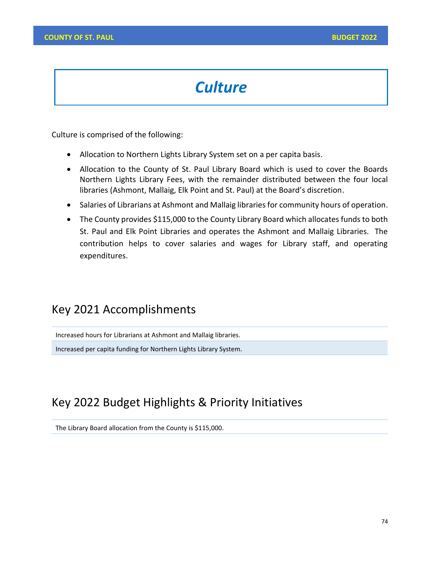# *Culture*

Culture is comprised of the following:

- Allocation to Northern Lights Library System set on a per capita basis.
- Allocation to the County of St. Paul Library Board which is used to cover the Boards Northern Lights Library Fees, with the remainder distributed between the four local libraries (Ashmont, Mallaig, Elk Point and St. Paul) at the Board's discretion.
- Salaries of Librarians at Ashmont and Mallaig libraries for community hours of operation.
- The County provides \$115,000 to the County Library Board which allocates funds to both St. Paul and Elk Point Libraries and operates the Ashmont and Mallaig Libraries. The contribution helps to cover salaries and wages for Library staff, and operating expenditures.

## Key 2021 Accomplishments

Increased hours for Librarians at Ashmont and Mallaig libraries.

Increased per capita funding for Northern Lights Library System.

## Key 2022 Budget Highlights & Priority Initiatives

The Library Board allocation from the County is \$115,000.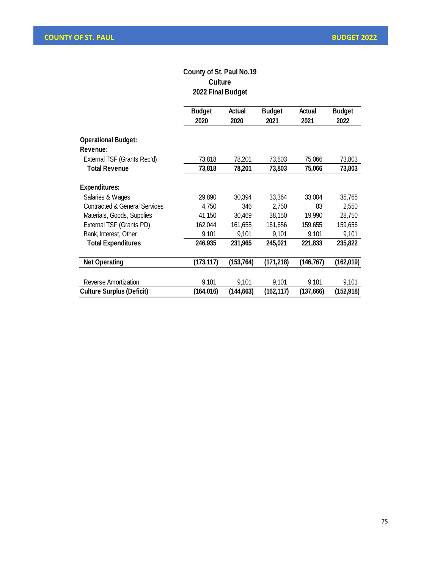#### **County of St. Paul No.19 Culture 2022 Final Budget**

|                                          | <b>Budget</b><br>2020 | Actual<br>2020 | <b>Budget</b><br>2021 | Actual<br>2021 | <b>Budget</b><br>2022 |
|------------------------------------------|-----------------------|----------------|-----------------------|----------------|-----------------------|
| <b>Operational Budget:</b><br>Revenue:   |                       |                |                       |                |                       |
| External TSF (Grants Rec'd)              | 73,818                | 78,201         | 73,803                | 75,066         | 73,803                |
| <b>Total Revenue</b>                     | 73,818                | 78,201         | 73,803                | 75,066         | 73,803                |
| <b>Expenditures:</b>                     |                       |                |                       |                |                       |
| Salaries & Wages                         | 29,890                | 30,394         | 33,364                | 33,004         | 35,765                |
| <b>Contracted &amp; General Services</b> | 4,750                 | 346            | 2,750                 | 83             | 2,550                 |
| Materials, Goods, Supplies               | 41,150                | 30,469         | 38,150                | 19,990         | 28,750                |
| External TSF (Grants PD)                 | 162,044               | 161,655        | 161,656               | 159,655        | 159,656               |
| Bank, Interest, Other                    | 9,101                 | 9,101          | 9,101                 | 9,101          | 9,101                 |
| <b>Total Expenditures</b>                | 246,935               | 231,965        | 245,021               | 221,833        | 235,822               |
| <b>Net Operating</b>                     | (173,117)             | (153, 764)     | (171, 218)            | (146,767)      | (162,019)             |
| Reverse Amortization                     | 9,101                 | 9,101          | 9,101                 | 9,101          | 9,101                 |
| <b>Culture Surplus (Deficit)</b>         | (164,016)             | (144,663)      | (162, 117)            | (137,666)      | (152,918)             |